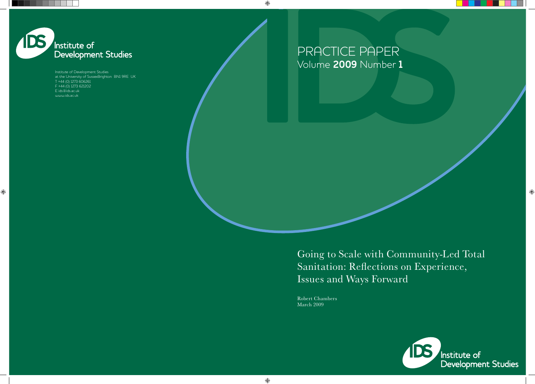# PRACTICE PAPER<br>Volume 2009 Number 1<br>**IDS.ac.uk Property Paper** Volume **2009** Number **1**

Going to Scale with Community-Led Total Sanitation: Reflections on Experience, Issues and Ways Forward

Robert Chambers March 2009

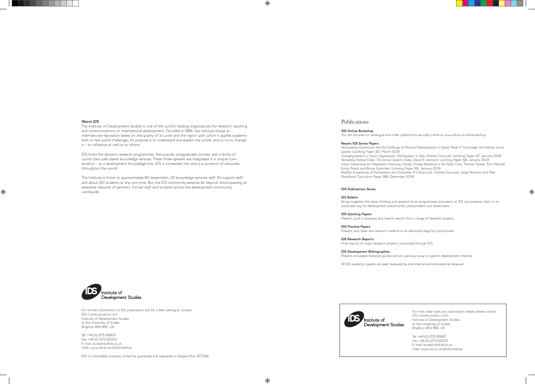### **About IDS**

The Institute of Development Studies is one of the world's leading organisations for research, teaching and communications on international development. Founded in 1966, the Institute enjoys an international reputation based on the quality of its work and the rigour with which it applies academic skills to real world challenges. Its purpose is to understand and explain the world, and to try to change it – to influence as well as to inform.

IDS hosts five dynamic research programmes, five popular postgraduate courses, and a family of world-class web-based knowledge services. These three spheres are integrated in a unique combination – as a development knowledge hub, IDS is connected into and is a convenor of networks throughout the world.

The Institute is home to approximately 80 researchers, 50 knowledge services staff, 50 support staff and about 150 students at any one time. But the IDS community extends far beyond, encompassing an extensive network of partners, former staff and students across the development community worldwide.



For further information on IDS publications and for a free catalogue, contact: IDS Communication Unit Institute of Development Studies at the University of Sussex Brighton BN1 9RE, UK

Tel: +44 (0) 1273 915637 Fax: +44 (0) 1273 621202 E-mail: bookshop@ids.ac.uk Web: www.ids.ac.uk/ids/bookshop

IDS is a charitable company, limited by guarantee and registered in England (No. 877338).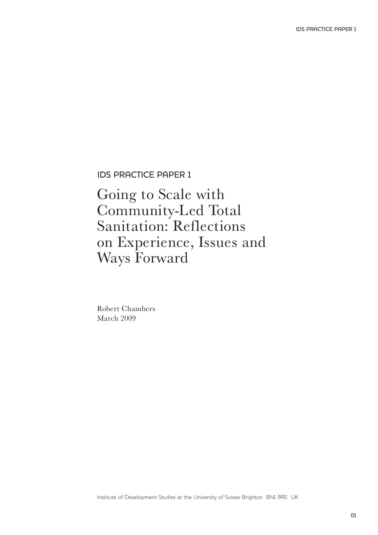IDS PRACTICE PAPER 1

Going to Scale with Community-Led Total Sanitation: Reflections on Experience, Issues and Ways Forward

Robert Chambers March 2009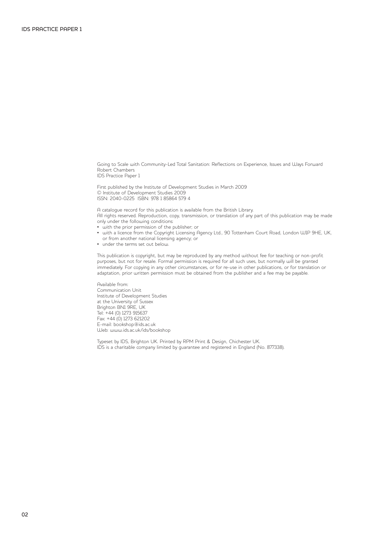Going to Scale with Community-Led Total Sanitation: Reflections on Experience, Issues and Ways Forward Robert Chambers IDS Practice Paper 1

First published by the Institute of Development Studies in March 2009 © Institute of Development Studies 2009 ISSN: 2040-0225 ISBN: 978 1 85864 579 4

A catalogue record for this publication is available from the British Library. All rights reserved. Reproduction, copy, transmission, or translation of any part of this publication may be made only under the following conditions:

- with the prior permission of the publisher; or
- with a licence from the Copyright Licensing Agency Ltd., 90 Tottenham Court Road, London W1P 9HE, UK, or from another national licensing agency; or
- under the terms set out below.

This publication is copyright, but may be reproduced by any method without fee for teaching or non-profit purposes, but not for resale. Formal permission is required for all such uses, but normally will be granted immediately. For copying in any other circumstances, or for re-use in other publications, or for translation or adaptation, prior written permission must be obtained from the publisher and a fee may be payable.

Available from: Communication Unit Institute of Development Studies at the University of Sussex Brighton BN1 9RE, UK Tel: +44 (0) 1273 915637 Fax: +44 (0) 1273 621202 E-mail: bookshop@ids.ac.uk Web: www.ids.ac.uk/ids/bookshop

Typeset by IDS, Brighton UK. Printed by RPM Print & Design, Chichester UK. IDS is a charitable company limited by guarantee and registered in England (No. 877338).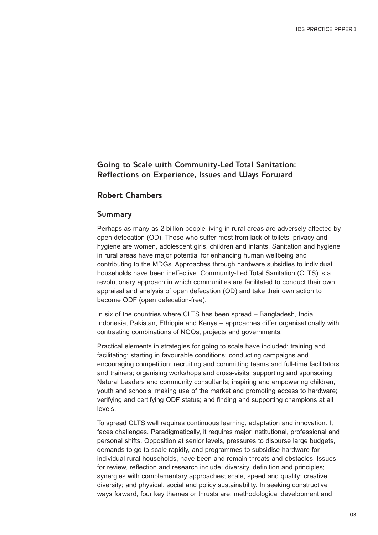### **Going to Scale with Community-Led Total Sanitation: Reflections on Experience, Issues and Ways Forward**

### **Robert Chambers**

### **Summary**

Perhaps as many as 2 billion people living in rural areas are adversely affected by open defecation (OD). Those who suffer most from lack of toilets, privacy and hygiene are women, adolescent girls, children and infants. Sanitation and hygiene in rural areas have major potential for enhancing human wellbeing and contributing to the MDGs. Approaches through hardware subsidies to individual households have been ineffective. Community-Led Total Sanitation (CLTS) is a revolutionary approach in which communities are facilitated to conduct their own appraisal and analysis of open defecation (OD) and take their own action to become ODF (open defecation-free).

In six of the countries where CLTS has been spread – Bangladesh, India, Indonesia, Pakistan, Ethiopia and Kenya – approaches differ organisationally with contrasting combinations of NGOs, projects and governments.

Practical elements in strategies for going to scale have included: training and facilitating; starting in favourable conditions; conducting campaigns and encouraging competition; recruiting and committing teams and full-time facilitators and trainers; organising workshops and cross-visits; supporting and sponsoring Natural Leaders and community consultants; inspiring and empowering children, youth and schools; making use of the market and promoting access to hardware; verifying and certifying ODF status; and finding and supporting champions at all levels.

To spread CLTS well requires continuous learning, adaptation and innovation. It faces challenges. Paradigmatically, it requires major institutional, professional and personal shifts. Opposition at senior levels, pressures to disburse large budgets, demands to go to scale rapidly, and programmes to subsidise hardware for individual rural households, have been and remain threats and obstacles. Issues for review, reflection and research include: diversity, definition and principles; synergies with complementary approaches; scale, speed and quality; creative diversity; and physical, social and policy sustainability. In seeking constructive ways forward, four key themes or thrusts are: methodological development and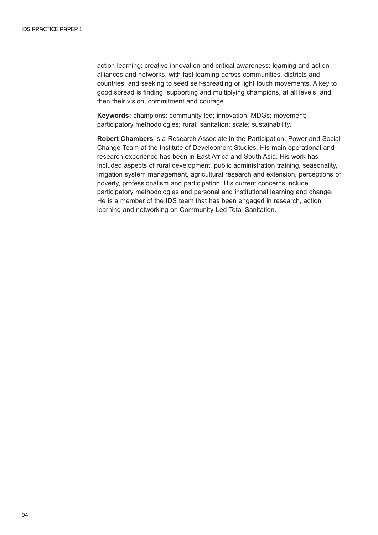action learning; creative innovation and critical awareness; learning and action alliances and networks, with fast learning across communities, districts and countries; and seeking to seed self-spreading or light touch movements. A key to good spread is finding, supporting and multiplying champions, at all levels, and then their vision, commitment and courage.

**Keywords:** champions; community-led; innovation; MDGs; movement; participatory methodologies; rural; sanitation; scale; sustainability.

**Robert Chambers** is a Research Associate in the Participation, Power and Social Change Team at the Institute of Development Studies. His main operational and research experience has been in East Africa and South Asia. His work has included aspects of rural development, public administration training, seasonality, irrigation system management, agricultural research and extension, perceptions of poverty, professionalism and participation. His current concerns include participatory methodologies and personal and institutional learning and change. He is a member of the IDS team that has been engaged in research, action learning and networking on Community-Led Total Sanitation.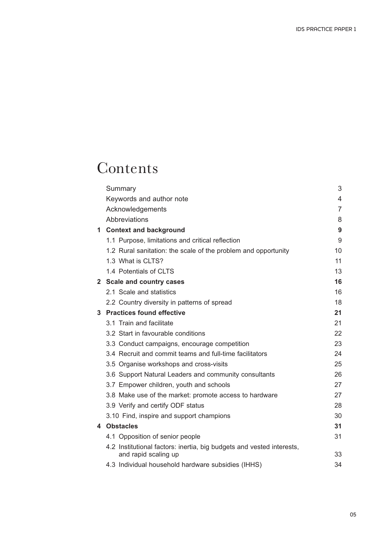# Contents

| Summary                                                               | 3  |
|-----------------------------------------------------------------------|----|
| Keywords and author note                                              | 4  |
| Acknowledgements                                                      | 7  |
| Abbreviations                                                         | 8  |
| 1 Context and background                                              | 9  |
| 1.1 Purpose, limitations and critical reflection                      | 9  |
| 1.2 Rural sanitation: the scale of the problem and opportunity        | 10 |
| 1.3 What is CLTS?                                                     | 11 |
| 1.4 Potentials of CLTS                                                | 13 |
| 2 Scale and country cases                                             | 16 |
| 2.1 Scale and statistics                                              | 16 |
| 2.2 Country diversity in patterns of spread                           | 18 |
| 3 Practices found effective                                           | 21 |
| 3.1 Train and facilitate                                              | 21 |
| 3.2 Start in favourable conditions                                    | 22 |
| 3.3 Conduct campaigns, encourage competition                          | 23 |
| 3.4 Recruit and commit teams and full-time facilitators               | 24 |
| 3.5 Organise workshops and cross-visits                               | 25 |
| 3.6 Support Natural Leaders and community consultants                 | 26 |
| 3.7 Empower children, youth and schools                               | 27 |
| 3.8 Make use of the market: promote access to hardware                | 27 |
| 3.9 Verify and certify ODF status                                     | 28 |
| 3.10 Find, inspire and support champions                              | 30 |
| 4 Obstacles                                                           | 31 |
| 4.1 Opposition of senior people                                       | 31 |
| 4.2 Institutional factors: inertia, big budgets and vested interests, |    |
| and rapid scaling up                                                  | 33 |
| 4.3 Individual household hardware subsidies (IHHS)                    | 34 |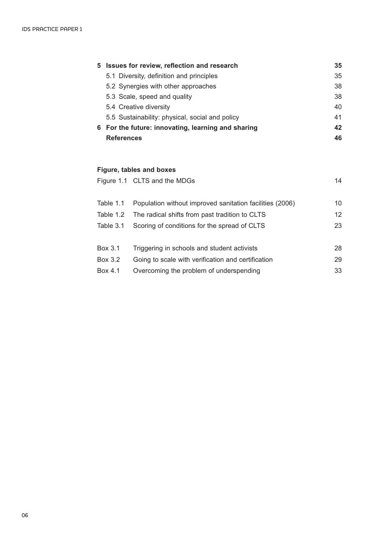| 5 | Issues for review, reflection and research         | 35 |
|---|----------------------------------------------------|----|
|   | 5.1 Diversity, definition and principles           | 35 |
|   | 5.2 Synergies with other approaches                | 38 |
|   | 5.3 Scale, speed and quality                       | 38 |
|   | 5.4 Creative diversity                             | 40 |
|   | 5.5 Sustainability: physical, social and policy    | 41 |
|   | 6 For the future: innovating, learning and sharing | 42 |
|   | <b>References</b>                                  | 46 |
|   |                                                    |    |

### **Figure, tables and boxes**

|           | Figure 1.1 CLTS and the MDGs                             | 14 |
|-----------|----------------------------------------------------------|----|
| Table 1.1 | Population without improved sanitation facilities (2006) | 10 |
| Table 1.2 | The radical shifts from past tradition to CLTS           | 12 |
| Table 3.1 | Scoring of conditions for the spread of CLTS             | 23 |
|           |                                                          |    |
| Box 3.1   | Triggering in schools and student activists              | 28 |
| Box 3.2   | Going to scale with verification and certification       | 29 |
| Box 4.1   | Overcoming the problem of underspending                  | 33 |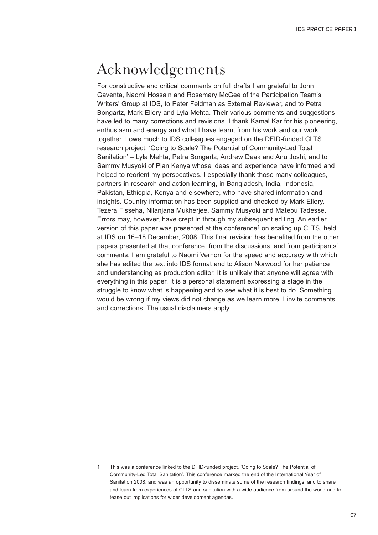# Acknowledgements

For constructive and critical comments on full drafts I am grateful to John Gaventa, Naomi Hossain and Rosemary McGee of the Participation Team's Writers' Group at IDS, to Peter Feldman as External Reviewer, and to Petra Bongartz, Mark Ellery and Lyla Mehta. Their various comments and suggestions have led to many corrections and revisions. I thank Kamal Kar for his pioneering, enthusiasm and energy and what I have learnt from his work and our work together. I owe much to IDS colleagues engaged on the DFID-funded CLTS research project, 'Going to Scale? The Potential of Community-Led Total Sanitation' – Lyla Mehta, Petra Bongartz, Andrew Deak and Anu Joshi, and to Sammy Musyoki of Plan Kenya whose ideas and experience have informed and helped to reorient my perspectives. I especially thank those many colleagues, partners in research and action learning, in Bangladesh, India, Indonesia, Pakistan, Ethiopia, Kenya and elsewhere, who have shared information and insights. Country information has been supplied and checked by Mark Ellery, Tezera Fisseha, Nilanjana Mukherjee, Sammy Musyoki and Matebu Tadesse. Errors may, however, have crept in through my subsequent editing. An earlier version of this paper was presented at the conference<sup>1</sup> on scaling up CLTS, held at IDS on 16–18 December, 2008. This final revision has benefited from the other papers presented at that conference, from the discussions, and from participants' comments. I am grateful to Naomi Vernon for the speed and accuracy with which she has edited the text into IDS format and to Alison Norwood for her patience and understanding as production editor. It is unlikely that anyone will agree with everything in this paper. It is a personal statement expressing a stage in the struggle to know what is happening and to see what it is best to do. Something would be wrong if my views did not change as we learn more. I invite comments and corrections. The usual disclaimers apply.

<sup>1</sup> This was a conference linked to the DFID-funded project, 'Going to Scale? The Potential of Community-Led Total Sanitation'. This conference marked the end of the International Year of Sanitation 2008, and was an opportunity to disseminate some of the research findings, and to share and learn from experiences of CLTS and sanitation with a wide audience from around the world and to tease out implications for wider development agendas.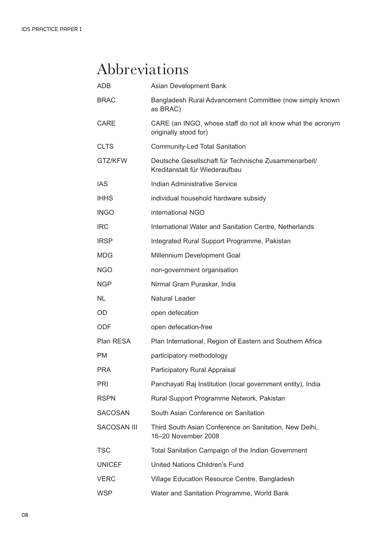# Abbreviations

| <b>ADB</b>         | Asian Development Bank                                                                 |
|--------------------|----------------------------------------------------------------------------------------|
| <b>BRAC</b>        | Bangladesh Rural Advancement Committee (now simply known<br>as BRAC)                   |
| <b>CARE</b>        | CARE (an INGO, whose staff do not all know what the acronym<br>originally stood for)   |
| <b>CLTS</b>        | <b>Community-Led Total Sanitation</b>                                                  |
| GTZ/KFW            | Deutsche Gesellschaft für Technische Zusammenarbeit/<br>Kreditanstalt für Wiederaufbau |
| <b>IAS</b>         | <b>Indian Administrative Service</b>                                                   |
| <b>IHHS</b>        | individual household hardware subsidy                                                  |
| <b>INGO</b>        | international NGO                                                                      |
| <b>IRC</b>         | International Water and Sanitation Centre, Netherlands                                 |
| <b>IRSP</b>        | Integrated Rural Support Programme, Pakistan                                           |
| MDG                | Millennium Development Goal                                                            |
| <b>NGO</b>         | non-government organisation                                                            |
| <b>NGP</b>         | Nirmal Gram Puraskar, India                                                            |
| <b>NL</b>          | <b>Natural Leader</b>                                                                  |
| OD.                | open defecation                                                                        |
| ODF                | open defecation-free                                                                   |
| Plan RESA          | Plan International, Region of Eastern and Southern Africa                              |
| PM                 | participatory methodology                                                              |
| <b>PRA</b>         | Participatory Rural Appraisal                                                          |
| PRI                | Panchayati Raj Institution (local government entity), India                            |
| <b>RSPN</b>        | Rural Support Programme Network, Pakistan                                              |
| <b>SACOSAN</b>     | South Asian Conference on Sanitation                                                   |
| <b>SACOSAN III</b> | Third South Asian Conference on Sanitation, New Delhi,<br>16-20 November 2008          |
| <b>TSC</b>         | Total Sanitation Campaign of the Indian Government                                     |
| <b>UNICEF</b>      | United Nations Children's Fund                                                         |
| <b>VERC</b>        | Village Education Resource Centre, Bangladesh                                          |
| <b>WSP</b>         | Water and Sanitation Programme, World Bank                                             |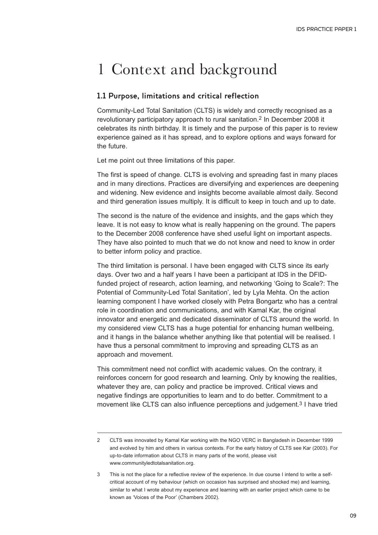# 1 Context and background

### **1.1 Purpose, limitations and critical reflection**

Community-Led Total Sanitation (CLTS) is widely and correctly recognised as a revolutionary participatory approach to rural sanitation.2 In December 2008 it celebrates its ninth birthday. It is timely and the purpose of this paper is to review experience gained as it has spread, and to explore options and ways forward for the future.

Let me point out three limitations of this paper.

The first is speed of change. CLTS is evolving and spreading fast in many places and in many directions. Practices are diversifying and experiences are deepening and widening. New evidence and insights become available almost daily. Second and third generation issues multiply. It is difficult to keep in touch and up to date.

The second is the nature of the evidence and insights, and the gaps which they leave. It is not easy to know what is really happening on the ground. The papers to the December 2008 conference have shed useful light on important aspects. They have also pointed to much that we do not know and need to know in order to better inform policy and practice.

The third limitation is personal. I have been engaged with CLTS since its early days. Over two and a half years I have been a participant at IDS in the DFIDfunded project of research, action learning, and networking 'Going to Scale?: The Potential of Community-Led Total Sanitation', led by Lyla Mehta. On the action learning component I have worked closely with Petra Bongartz who has a central role in coordination and communications, and with Kamal Kar, the original innovator and energetic and dedicated disseminator of CLTS around the world. In my considered view CLTS has a huge potential for enhancing human wellbeing, and it hangs in the balance whether anything like that potential will be realised. I have thus a personal commitment to improving and spreading CLTS as an approach and movement.

This commitment need not conflict with academic values. On the contrary, it reinforces concern for good research and learning. Only by knowing the realities, whatever they are, can policy and practice be improved. Critical views and negative findings are opportunities to learn and to do better. Commitment to a movement like CLTS can also influence perceptions and judgement.3 I have tried

<sup>2</sup> CLTS was innovated by Kamal Kar working with the NGO VERC in Bangladesh in December 1999 and evolved by him and others in various contexts. For the early history of CLTS see Kar (2003). For up-to-date information about CLTS in many parts of the world, please visit www.communityledtotalsanitation.org.

<sup>3</sup> This is not the place for a reflective review of the experience. In due course I intend to write a selfcritical account of my behaviour (which on occasion has surprised and shocked me) and learning, similar to what I wrote about my experience and learning with an earlier project which came to be known as 'Voices of the Poor' (Chambers 2002).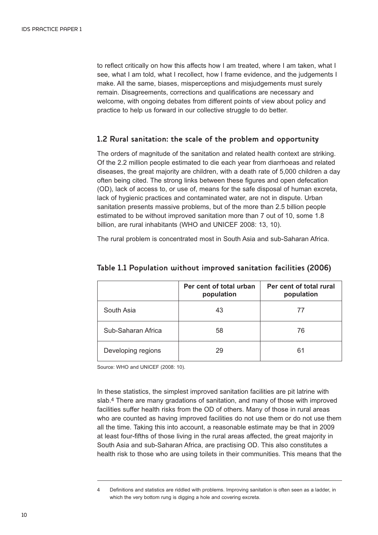to reflect critically on how this affects how I am treated, where I am taken, what I see, what I am told, what I recollect, how I frame evidence, and the judgements I make. All the same, biases, misperceptions and misjudgements must surely remain. Disagreements, corrections and qualifications are necessary and welcome, with ongoing debates from different points of view about policy and practice to help us forward in our collective struggle to do better.

### **1.2 Rural sanitation: the scale of the problem and opportunity**

The orders of magnitude of the sanitation and related health context are striking. Of the 2.2 million people estimated to die each year from diarrhoeas and related diseases, the great majority are children, with a death rate of 5,000 children a day often being cited. The strong links between these figures and open defecation (OD), lack of access to, or use of, means for the safe disposal of human excreta, lack of hygienic practices and contaminated water, are not in dispute. Urban sanitation presents massive problems, but of the more than 2.5 billion people estimated to be without improved sanitation more than 7 out of 10, some 1.8 billion, are rural inhabitants (WHO and UNICEF 2008: 13, 10).

The rural problem is concentrated most in South Asia and sub-Saharan Africa.

|                    | Per cent of total urban<br>population | Per cent of total rural<br>population |
|--------------------|---------------------------------------|---------------------------------------|
| South Asia         | 43                                    | 77                                    |
| Sub-Saharan Africa | 58                                    | 76                                    |
| Developing regions | 29                                    | 61                                    |

### **Table 1.1 Population without improved sanitation facilities (2006)**

Source: WHO and UNICEF (2008: 10).

In these statistics, the simplest improved sanitation facilities are pit latrine with slab.4 There are many gradations of sanitation, and many of those with improved facilities suffer health risks from the OD of others. Many of those in rural areas who are counted as having improved facilities do not use them or do not use them all the time. Taking this into account, a reasonable estimate may be that in 2009 at least four-fifths of those living in the rural areas affected, the great majority in South Asia and sub-Saharan Africa, are practising OD. This also constitutes a health risk to those who are using toilets in their communities. This means that the

<sup>4</sup> Definitions and statistics are riddled with problems. Improving sanitation is often seen as a ladder, in which the very bottom rung is digging a hole and covering excreta.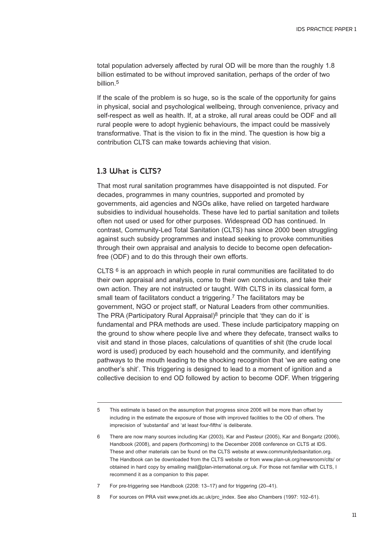total population adversely affected by rural OD will be more than the roughly 1.8 billion estimated to be without improved sanitation, perhaps of the order of two billion<sup>5</sup>

If the scale of the problem is so huge, so is the scale of the opportunity for gains in physical, social and psychological wellbeing, through convenience, privacy and self-respect as well as health. If, at a stroke, all rural areas could be ODF and all rural people were to adopt hygienic behaviours, the impact could be massively transformative. That is the vision to fix in the mind. The question is how big a contribution CLTS can make towards achieving that vision.

### **1.3 What is CLTS?**

That most rural sanitation programmes have disappointed is not disputed. For decades, programmes in many countries, supported and promoted by governments, aid agencies and NGOs alike, have relied on targeted hardware subsidies to individual households. These have led to partial sanitation and toilets often not used or used for other purposes. Widespread OD has continued. In contrast, Community-Led Total Sanitation (CLTS) has since 2000 been struggling against such subsidy programmes and instead seeking to provoke communities through their own appraisal and analysis to decide to become open defecationfree (ODF) and to do this through their own efforts.

CLTS  $6$  is an approach in which people in rural communities are facilitated to do their own appraisal and analysis, come to their own conclusions, and take their own action. They are not instructed or taught. With CLTS in its classical form, a small team of facilitators conduct a triggering.<sup>7</sup> The facilitators may be government, NGO or project staff, or Natural Leaders from other communities. The PRA (Participatory Rural Appraisal) $8$  principle that 'they can do it' is fundamental and PRA methods are used. These include participatory mapping on the ground to show where people live and where they defecate, transect walks to visit and stand in those places, calculations of quantities of shit (the crude local word is used) produced by each household and the community, and identifying pathways to the mouth leading to the shocking recognition that 'we are eating one another's shit'. This triggering is designed to lead to a moment of ignition and a collective decision to end OD followed by action to become ODF. When triggering

- 7 For pre-triggering see Handbook (2208: 13–17) and for triggering (20–41).
- 8 For sources on PRA visit www.pnet.ids.ac.uk/prc\_index. See also Chambers (1997: 102–61).

<sup>5</sup> This estimate is based on the assumption that progress since 2006 will be more than offset by including in the estimate the exposure of those with improved facilities to the OD of others. The imprecision of 'substantial' and 'at least four-fifths' is deliberate.

<sup>6</sup> There are now many sources including Kar (2003), Kar and Pasteur (2005), Kar and Bongartz (2006), Handbook (2008), and papers (forthcoming) to the December 2008 conference on CLTS at IDS. These and other materials can be found on the CLTS website at www.communityledsanitation.org. The Handbook can be downloaded from the CLTS website or from www.plan-uk.org/newsroom/clts/ or obtained in hard copy by emailing mail@plan-international.org.uk. For those not familiar with CLTS, I recommend it as a companion to this paper.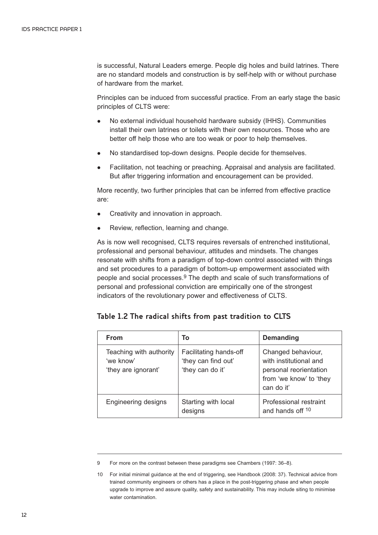is successful, Natural Leaders emerge. People dig holes and build latrines. There are no standard models and construction is by self-help with or without purchase of hardware from the market.

Principles can be induced from successful practice. From an early stage the basic principles of CLTS were:

- l No external individual household hardware subsidy (IHHS). Communities install their own latrines or toilets with their own resources. Those who are better off help those who are too weak or poor to help themselves.
- No standardised top-down designs. People decide for themselves.
- Facilitation, not teaching or preaching. Appraisal and analysis are facilitated. But after triggering information and encouragement can be provided.

More recently, two further principles that can be inferred from effective practice are:

- Creativity and innovation in approach.
- Review, reflection, learning and change.

As is now well recognised, CLTS requires reversals of entrenched institutional, professional and personal behaviour, attitudes and mindsets. The changes resonate with shifts from a paradigm of top-down control associated with things and set procedures to a paradigm of bottom-up empowerment associated with people and social processes.9 The depth and scale of such transformations of personal and professional conviction are empirically one of the strongest indicators of the revolutionary power and effectiveness of CLTS.

|  |  |  |  |  |  |  | Table 1.2 The radical shifts from past tradition to CLTS |  |  |
|--|--|--|--|--|--|--|----------------------------------------------------------|--|--|
|--|--|--|--|--|--|--|----------------------------------------------------------|--|--|

| <b>From</b>                                                 | To                                                                | Demanding                                                                                                       |
|-------------------------------------------------------------|-------------------------------------------------------------------|-----------------------------------------------------------------------------------------------------------------|
| Teaching with authority<br>'we know'<br>'they are ignorant' | Facilitating hands-off<br>'they can find out'<br>'they can do it' | Changed behaviour,<br>with institutional and<br>personal reorientation<br>from 'we know' to 'they<br>can do it' |
| Engineering designs                                         | Starting with local<br>designs                                    | Professional restraint<br>and hands off 10                                                                      |

<sup>9</sup> For more on the contrast between these paradigms see Chambers (1997: 36–8).

<sup>10</sup> For initial minimal guidance at the end of triggering, see Handbook (2008: 37). Technical advice from trained community engineers or others has a place in the post-triggering phase and when people upgrade to improve and assure quality, safety and sustainability. This may include siting to minimise water contamination.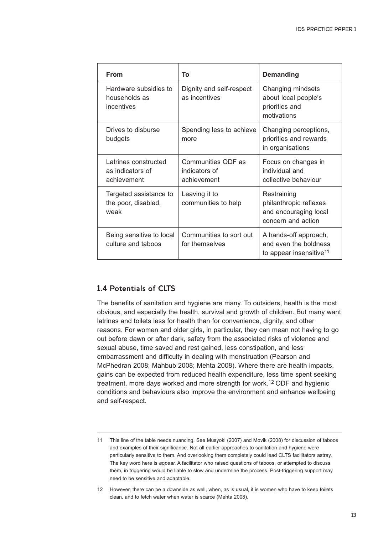| <b>From</b>                                             | То                                                 | <b>Demanding</b>                                                                      |
|---------------------------------------------------------|----------------------------------------------------|---------------------------------------------------------------------------------------|
| Hardware subsidies to<br>households as<br>incentives    | Dignity and self-respect<br>as incentives          | Changing mindsets<br>about local people's<br>priorities and<br>motivations            |
| Drives to disburse<br>budgets                           | Spending less to achieve<br>more                   | Changing perceptions,<br>priorities and rewards<br>in organisations                   |
| Latrines constructed<br>as indicators of<br>achievement | Communities ODF as<br>indicators of<br>achievement | Focus on changes in<br>individual and<br>collective behaviour                         |
| Targeted assistance to<br>the poor, disabled,<br>weak   | Leaving it to<br>communities to help               | Restraining<br>philanthropic reflexes<br>and encouraging local<br>concern and action  |
| Being sensitive to local<br>culture and taboos          | Communities to sort out<br>for themselves          | A hands-off approach,<br>and even the boldness<br>to appear insensitive <sup>11</sup> |

## **1.4 Potentials of CLTS**

The benefits of sanitation and hygiene are many. To outsiders, health is the most obvious, and especially the health, survival and growth of children. But many want latrines and toilets less for health than for convenience, dignity, and other reasons. For women and older girls, in particular, they can mean not having to go out before dawn or after dark, safety from the associated risks of violence and sexual abuse, time saved and rest gained, less constipation, and less embarrassment and difficulty in dealing with menstruation (Pearson and McPhedran 2008; Mahbub 2008; Mehta 2008). Where there are health impacts, gains can be expected from reduced health expenditure, less time spent seeking treatment, more days worked and more strength for work.12 ODF and hygienic conditions and behaviours also improve the environment and enhance wellbeing and self-respect.

<sup>11</sup> This line of the table needs nuancing. See Musyoki (2007) and Movik (2008) for discussion of taboos and examples of their significance. Not all earlier approaches to sanitation and hygiene were particularly sensitive to them. And overlooking them completely could lead CLTS facilitators astray. The key word here is *appear.* A facilitator who raised questions of taboos, or attempted to discuss them, in triggering would be liable to slow and undermine the process. Post-triggering support may need to be sensitive and adaptable.

<sup>12</sup> However, there can be a downside as well, when, as is usual, it is women who have to keep toilets clean, and to fetch water when water is scarce (Mehta 2008).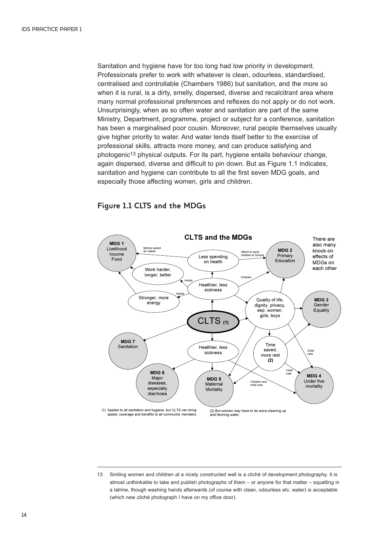Sanitation and hygiene have for too long had low priority in development. Professionals prefer to work with whatever is clean, odourless, standardised, centralised and controllable (Chambers 1986) but sanitation, and the more so when it is rural, is a dirty, smelly, dispersed, diverse and recalcitrant area where many normal professional preferences and reflexes do not apply or do not work. Unsurprisingly, when as so often water and sanitation are part of the same Ministry, Department, programme, project or subject for a conference, sanitation has been a marginalised poor cousin. Moreover, rural people themselves usually give higher priority to water. And water lends itself better to the exercise of professional skills, attracts more money, and can produce satisfying and photogenic13 physical outputs. For its part, hygiene entails behaviour change, again dispersed, diverse and difficult to pin down. But as Figure 1.1 indicates, sanitation and hygiene can contribute to all the first seven MDG goals, and especially those affecting women, girls and children.

### **Figure 1.1 CLTS and the MDGs**



<sup>13</sup> Smiling women and children at a nicely constructed well is a cliché of development photography. It is almost unthinkable to take and publish photographs of them – or anyone for that matter – squatting in a latrine, though washing hands afterwards (of course with clean, odourless etc. water) is acceptable (which new cliché photograph I have on my office door).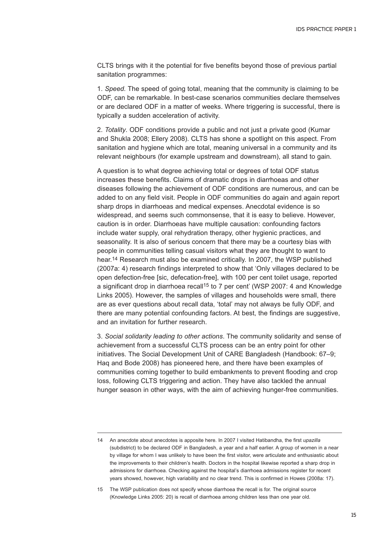CLTS brings with it the potential for five benefits beyond those of previous partial sanitation programmes:

1. *Speed.* The speed of going total, meaning that the community is claiming to be ODF, can be remarkable. In best-case scenarios communities declare themselves or are declared ODF in a matter of weeks. Where triggering is successful, there is typically a sudden acceleration of activity.

2. *Totality*. ODF conditions provide a public and not just a private good (Kumar and Shukla 2008; Ellery 2008). CLTS has shone a spotlight on this aspect. From sanitation and hygiene which are total, meaning universal in a community and its relevant neighbours (for example upstream and downstream), all stand to gain.

A question is to what degree achieving total or degrees of total ODF status increases these benefits. Claims of dramatic drops in diarrhoeas and other diseases following the achievement of ODF conditions are numerous, and can be added to on any field visit. People in ODF communities do again and again report sharp drops in diarrhoeas and medical expenses. Anecdotal evidence is so widespread, and seems such commonsense, that it is easy to believe. However, caution is in order. Diarrhoeas have multiple causation: confounding factors include water supply, oral rehydration therapy, other hygienic practices, and seasonality. It is also of serious concern that there may be a courtesy bias with people in communities telling casual visitors what they are thought to want to hear.14 Research must also be examined critically. In 2007, the WSP published (2007a: 4) research findings interpreted to show that 'Only villages declared to be open defection-free [sic, defecation-free], with 100 per cent toilet usage, reported a significant drop in diarrhoea recall<sup>15</sup> to 7 per cent' (WSP 2007: 4 and Knowledge Links 2005). However, the samples of villages and households were small, there are as ever questions about recall data, 'total' may not always be fully ODF, and there are many potential confounding factors. At best, the findings are suggestive, and an invitation for further research.

3. *Social solidarity leading to other actions*. The community solidarity and sense of achievement from a successful CLTS process can be an entry point for other initiatives. The Social Development Unit of CARE Bangladesh (Handbook: 67–9; Haq and Bode 2008) has pioneered here, and there have been examples of communities coming together to build embankments to prevent flooding and crop loss, following CLTS triggering and action. They have also tackled the annual hunger season in other ways, with the aim of achieving hunger-free communities.

<sup>14</sup> An anecdote about anecdotes is apposite here. In 2007 I visited Hatibandha, the first *upazilla* (subdistrict) to be declared ODF in Bangladesh, a year and a half earlier. A group of women in a near by village for whom I was unlikely to have been the first visitor, were articulate and enthusiastic about the improvements to their children's health. Doctors in the hospital likewise reported a sharp drop in admissions for diarrhoea. Checking against the hospital's diarrhoea admissions register for recent years showed, however, high variability and no clear trend. This is confirmed in Howes (2008a: 17).

<sup>15</sup> The WSP publication does not specify whose diarrhoea the recall is for. The original source (Knowledge Links 2005: 20) is recall of diarrhoea among children less than one year old.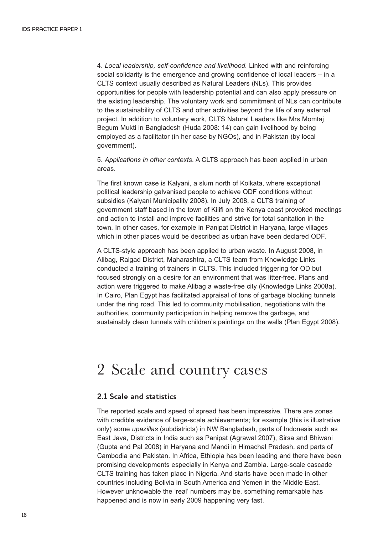4. *Local leadership, self-confidence and livelihood.* Linked with and reinforcing social solidarity is the emergence and growing confidence of local leaders – in a CLTS context usually described as Natural Leaders (NLs). This provides opportunities for people with leadership potential and can also apply pressure on the existing leadership. The voluntary work and commitment of NLs can contribute to the sustainability of CLTS and other activities beyond the life of any external project. In addition to voluntary work, CLTS Natural Leaders like Mrs Momtaj Begum Mukti in Bangladesh (Huda 2008: 14) can gain livelihood by being employed as a facilitator (in her case by NGOs), and in Pakistan (by local government).

5. *Applications in other contexts*. A CLTS approach has been applied in urban areas.

The first known case is Kalyani, a slum north of Kolkata, where exceptional political leadership galvanised people to achieve ODF conditions without subsidies (Kalyani Municipality 2008). In July 2008, a CLTS training of government staff based in the town of Kilifi on the Kenya coast provoked meetings and action to install and improve facilities and strive for total sanitation in the town. In other cases, for example in Panipat District in Haryana, large villages which in other places would be described as urban have been declared ODF.

A CLTS-style approach has been applied to urban waste. In August 2008, in Alibag, Raigad District, Maharashtra, a CLTS team from Knowledge Links conducted a training of trainers in CLTS. This included triggering for OD but focused strongly on a desire for an environment that was litter-free. Plans and action were triggered to make Alibag a waste-free city (Knowledge Links 2008a). In Cairo, Plan Egypt has facilitated appraisal of tons of garbage blocking tunnels under the ring road. This led to community mobilisation, negotiations with the authorities, community participation in helping remove the garbage, and sustainably clean tunnels with children's paintings on the walls (Plan Egypt 2008).

# 2 Scale and country cases

### **2.1 Scale and statistics**

The reported scale and speed of spread has been impressive. There are zones with credible evidence of large-scale achievements; for example (this is illustrative only) some *upazillas* (subdistricts) in NW Bangladesh, parts of Indonesia such as East Java, Districts in India such as Panipat (Agrawal 2007), Sirsa and Bhiwani (Gupta and Pal 2008) in Haryana and Mandi in Himachal Pradesh, and parts of Cambodia and Pakistan. In Africa, Ethiopia has been leading and there have been promising developments especially in Kenya and Zambia. Large-scale cascade CLTS training has taken place in Nigeria. And starts have been made in other countries including Bolivia in South America and Yemen in the Middle East. However unknowable the 'real' numbers may be, something remarkable has happened and is now in early 2009 happening very fast.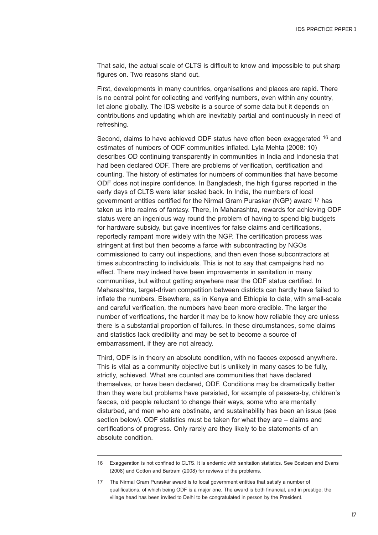That said, the actual scale of CLTS is difficult to know and impossible to put sharp figures on. Two reasons stand out.

First, developments in many countries, organisations and places are rapid. There is no central point for collecting and verifying numbers, even within any country, let alone globally. The IDS website is a source of some data but it depends on contributions and updating which are inevitably partial and continuously in need of refreshing.

Second, claims to have achieved ODF status have often been exaggerated 16 and estimates of numbers of ODF communities inflated. Lyla Mehta (2008: 10) describes OD continuing transparently in communities in India and Indonesia that had been declared ODF. There are problems of verification, certification and counting. The history of estimates for numbers of communities that have become ODF does not inspire confidence. In Bangladesh, the high figures reported in the early days of CLTS were later scaled back. In India, the numbers of local government entities certified for the Nirmal Gram Puraskar (NGP) award 17 has taken us into realms of fantasy. There, in Maharashtra, rewards for achieving ODF status were an ingenious way round the problem of having to spend big budgets for hardware subsidy, but gave incentives for false claims and certifications, reportedly rampant more widely with the NGP. The certification process was stringent at first but then become a farce with subcontracting by NGOs commissioned to carry out inspections, and then even those subcontractors at times subcontracting to individuals. This is not to say that campaigns had no effect. There may indeed have been improvements in sanitation in many communities, but without getting anywhere near the ODF status certified. In Maharashtra, target-driven competition between districts can hardly have failed to inflate the numbers. Elsewhere, as in Kenya and Ethiopia to date, with small-scale and careful verification, the numbers have been more credible. The larger the number of verifications, the harder it may be to know how reliable they are unless there is a substantial proportion of failures. In these circumstances, some claims and statistics lack credibility and may be set to become a source of embarrassment, if they are not already.

Third, ODF is in theory an absolute condition, with no faeces exposed anywhere. This is vital as a community objective but is unlikely in many cases to be fully, strictly, achieved. What are counted are communities that have declared themselves, or have been declared, ODF. Conditions may be dramatically better than they were but problems have persisted, for example of passers-by, children's faeces, old people reluctant to change their ways, some who are mentally disturbed, and men who are obstinate, and sustainability has been an issue (see section below). ODF statistics must be taken for what they are – claims and certifications of progress. Only rarely are they likely to be statements of an absolute condition.

<sup>16</sup> Exaggeration is not confined to CLTS. It is endemic with sanitation statistics. See Bostoen and Evans (2008) and Cotton and Bartram (2008) for reviews of the problems.

<sup>17</sup> The Nirmal Gram Puraskar award is to local government entities that satisfy a number of qualifications, of which being ODF is a major one. The award is both financial, and in prestige: the village head has been invited to Delhi to be congratulated in person by the President.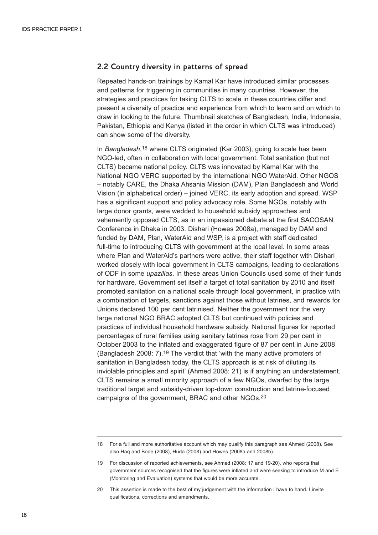### **2.2 Country diversity in patterns of spread**

Repeated hands-on trainings by Kamal Kar have introduced similar processes and patterns for triggering in communities in many countries. However, the strategies and practices for taking CLTS to scale in these countries differ and present a diversity of practice and experience from which to learn and on which to draw in looking to the future. Thumbnail sketches of Bangladesh, India, Indonesia, Pakistan, Ethiopia and Kenya (listed in the order in which CLTS was introduced) can show some of the diversity.

In *Bangladesh*,18 where CLTS originated (Kar 2003), going to scale has been NGO-led, often in collaboration with local government. Total sanitation (but not CLTS) became national policy. CLTS was innovated by Kamal Kar with the National NGO VERC supported by the international NGO WaterAid. Other NGOS – notably CARE, the Dhaka Ahsania Mission (DAM), Plan Bangladesh and World Vision (in alphabetical order) – joined VERC, its early adoption and spread. WSP has a significant support and policy advocacy role. Some NGOs, notably with large donor grants, were wedded to household subsidy approaches and vehemently opposed CLTS, as in an impassioned debate at the first SACOSAN Conference in Dhaka in 2003. Dishari (Howes 2008a), managed by DAM and funded by DAM, Plan, WaterAid and WSP, is a project with staff dedicated full-time to introducing CLTS with government at the local level. In some areas where Plan and WaterAid's partners were active, their staff together with Dishari worked closely with local government in CLTS campaigns, leading to declarations of ODF in some *upazillas*. In these areas Union Councils used some of their funds for hardware. Government set itself a target of total sanitation by 2010 and itself promoted sanitation on a national scale through local government, in practice with a combination of targets, sanctions against those without latrines, and rewards for Unions declared 100 per cent latrinised. Neither the government nor the very large national NGO BRAC adopted CLTS but continued with policies and practices of individual household hardware subsidy. National figures for reported percentages of rural families using sanitary latrines rose from 29 per cent in October 2003 to the inflated and exaggerated figure of 87 per cent in June 2008 (Bangladesh 2008: 7).19 The verdict that 'with the many active promoters of sanitation in Bangladesh today, the CLTS approach is at risk of diluting its inviolable principles and spirit' (Ahmed 2008: 21) is if anything an understatement. CLTS remains a small minority approach of a few NGOs, dwarfed by the large traditional target and subsidy-driven top-down construction and latrine-focused campaigns of the government, BRAC and other NGOs.20

<sup>18</sup> For a full and more authoritative account which may qualify this paragraph see Ahmed (2008). See also Haq and Bode (2008), Huda (2008) and Howes (2008a and 2008b).

<sup>19</sup> For discussion of reported achievements, see Ahmed (2008: 17 and 19-20), who reports that government sources recognised that the figures were inflated and were seeking to introduce M and E (Monitoring and Evaluation) systems that would be more accurate.

<sup>20</sup> This assertion is made to the best of my judgement with the information I have to hand. I invite qualifications, corrections and amendments.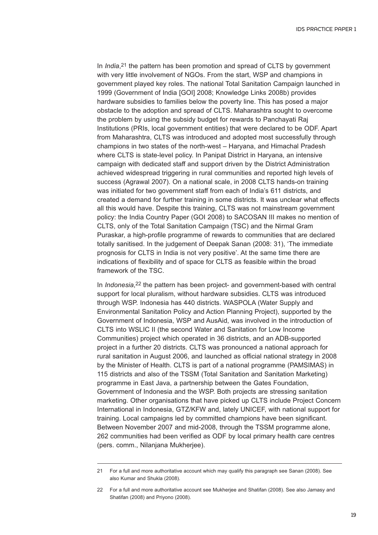In *India*,<sup>21</sup> the pattern has been promotion and spread of CLTS by government with very little involvement of NGOs. From the start, WSP and champions in government played key roles. The national Total Sanitation Campaign launched in 1999 (Government of India [GOI] 2008; Knowledge Links 2008b) provides hardware subsidies to families below the poverty line. This has posed a major obstacle to the adoption and spread of CLTS. Maharashtra sought to overcome the problem by using the subsidy budget for rewards to Panchayati Raj Institutions (PRIs, local government entities) that were declared to be ODF. Apart from Maharashtra, CLTS was introduced and adopted most successfully through champions in two states of the north-west – Haryana, and Himachal Pradesh where CLTS is state-level policy. In Panipat District in Haryana, an intensive campaign with dedicated staff and support driven by the District Administration achieved widespread triggering in rural communities and reported high levels of success (Agrawal 2007). On a national scale, in 2008 CLTS hands-on training was initiated for two government staff from each of India's 611 districts, and created a demand for further training in some districts. It was unclear what effects all this would have. Despite this training, CLTS was not mainstream government policy: the India Country Paper (GOI 2008) to SACOSAN III makes no mention of CLTS, only of the Total Sanitation Campaign (TSC) and the Nirmal Gram Puraskar, a high-profile programme of rewards to communities that are declared totally sanitised. In the judgement of Deepak Sanan (2008: 31), 'The immediate prognosis for CLTS in India is not very positive'. At the same time there are indications of flexibility and of space for CLTS as feasible within the broad framework of the TSC.

In *Indonesia*,22 the pattern has been project- and government-based with central support for local pluralism, without hardware subsidies. CLTS was introduced through WSP. Indonesia has 440 districts. WASPOLA (Water Supply and Environmental Sanitation Policy and Action Planning Project), supported by the Government of Indonesia, WSP and AusAid, was involved in the introduction of CLTS into WSLIC II (the second Water and Sanitation for Low Income Communities) project which operated in 36 districts, and an ADB-supported project in a further 20 districts. CLTS was pronounced a national approach for rural sanitation in August 2006, and launched as official national strategy in 2008 by the Minister of Health. CLTS is part of a national programme (PAMSIMAS) in 115 districts and also of the TSSM (Total Sanitation and Sanitation Marketing) programme in East Java, a partnership between the Gates Foundation, Government of Indonesia and the WSP. Both projects are stressing sanitation marketing. Other organisations that have picked up CLTS include Project Concern International in Indonesia, GTZ/KFW and, lately UNICEF, with national support for training. Local campaigns led by committed champions have been significant. Between November 2007 and mid-2008, through the TSSM programme alone, 262 communities had been verified as ODF by local primary health care centres (pers. comm., Nilanjana Mukherjee).

<sup>21</sup> For a full and more authoritative account which may qualify this paragraph see Sanan (2008). See also Kumar and Shukla (2008).

<sup>22</sup> For a full and more authoritative account see Mukherjee and Shatifan (2008). See also Jamasy and Shatifan (2008) and Priyono (2008).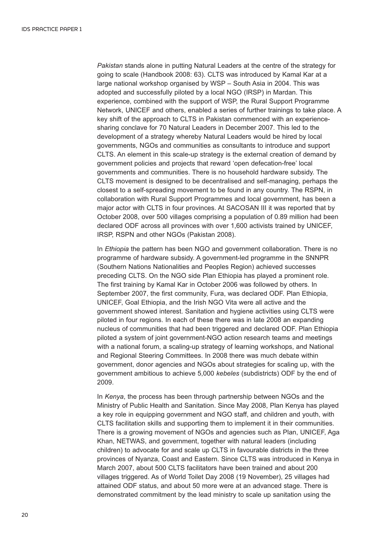*Pakistan* stands alone in putting Natural Leaders at the centre of the strategy for going to scale (Handbook 2008: 63). CLTS was introduced by Kamal Kar at a large national workshop organised by WSP – South Asia in 2004. This was adopted and successfully piloted by a local NGO (IRSP) in Mardan. This experience, combined with the support of WSP, the Rural Support Programme Network, UNICEF and others, enabled a series of further trainings to take place. A key shift of the approach to CLTS in Pakistan commenced with an experiencesharing conclave for 70 Natural Leaders in December 2007. This led to the development of a strategy whereby Natural Leaders would be hired by local governments, NGOs and communities as consultants to introduce and support CLTS. An element in this scale-up strategy is the external creation of demand by government policies and projects that reward 'open defecation-free' local governments and communities. There is no household hardware subsidy. The CLTS movement is designed to be decentralised and self-managing, perhaps the closest to a self-spreading movement to be found in any country. The RSPN, in collaboration with Rural Support Programmes and local government, has been a major actor with CLTS in four provinces. At SACOSAN III it was reported that by October 2008, over 500 villages comprising a population of 0.89 million had been declared ODF across all provinces with over 1,600 activists trained by UNICEF, IRSP, RSPN and other NGOs (Pakistan 2008).

In *Ethiopia* the pattern has been NGO and government collaboration. There is no programme of hardware subsidy. A government-led programme in the SNNPR (Southern Nations Nationalities and Peoples Region) achieved successes preceding CLTS. On the NGO side Plan Ethiopia has played a prominent role. The first training by Kamal Kar in October 2006 was followed by others. In September 2007, the first community, Fura, was declared ODF. Plan Ethiopia, UNICEF, Goal Ethiopia, and the Irish NGO Vita were all active and the government showed interest. Sanitation and hygiene activities using CLTS were piloted in four regions. In each of these there was in late 2008 an expanding nucleus of communities that had been triggered and declared ODF. Plan Ethiopia piloted a system of joint government-NGO action research teams and meetings with a national forum, a scaling-up strategy of learning workshops, and National and Regional Steering Committees. In 2008 there was much debate within government, donor agencies and NGOs about strategies for scaling up, with the government ambitious to achieve 5,000 *kebeles* (subdistricts) ODF by the end of 2009.

In *Kenya*, the process has been through partnership between NGOs and the Ministry of Public Health and Sanitation. Since May 2008, Plan Kenya has played a key role in equipping government and NGO staff, and children and youth, with CLTS facilitation skills and supporting them to implement it in their communities. There is a growing movement of NGOs and agencies such as Plan, UNICEF, Aga Khan, NETWAS, and government, together with natural leaders (including children) to advocate for and scale up CLTS in favourable districts in the three provinces of Nyanza, Coast and Eastern. Since CLTS was introduced in Kenya in March 2007, about 500 CLTS facilitators have been trained and about 200 villages triggered. As of World Toilet Day 2008 (19 November), 25 villages had attained ODF status, and about 50 more were at an advanced stage. There is demonstrated commitment by the lead ministry to scale up sanitation using the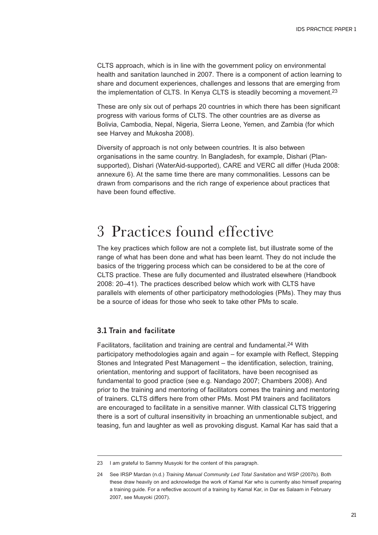CLTS approach, which is in line with the government policy on environmental health and sanitation launched in 2007. There is a component of action learning to share and document experiences, challenges and lessons that are emerging from the implementation of CLTS. In Kenya CLTS is steadily becoming a movement.<sup>23</sup>

These are only six out of perhaps 20 countries in which there has been significant progress with various forms of CLTS. The other countries are as diverse as Bolivia, Cambodia, Nepal, Nigeria, Sierra Leone, Yemen, and Zambia (for which see Harvey and Mukosha 2008).

Diversity of approach is not only between countries. It is also between organisations in the same country. In Bangladesh, for example, Dishari (Plansupported), Dishari (WaterAid-supported), CARE and VERC all differ (Huda 2008: annexure 6). At the same time there are many commonalities. Lessons can be drawn from comparisons and the rich range of experience about practices that have been found effective.

# 3 Practices found effective

The key practices which follow are not a complete list, but illustrate some of the range of what has been done and what has been learnt. They do not include the basics of the triggering process which can be considered to be at the core of CLTS practice. These are fully documented and illustrated elsewhere (Handbook 2008: 20–41). The practices described below which work with CLTS have parallels with elements of other participatory methodologies (PMs). They may thus be a source of ideas for those who seek to take other PMs to scale.

### **3.1 Train and facilitate**

Facilitators, facilitation and training are central and fundamental.24 With participatory methodologies again and again – for example with Reflect, Stepping Stones and Integrated Pest Management – the identification, selection, training, orientation, mentoring and support of facilitators, have been recognised as fundamental to good practice (see e.g. Nandago 2007; Chambers 2008). And prior to the training and mentoring of facilitators comes the training and mentoring of trainers. CLTS differs here from other PMs. Most PM trainers and facilitators are encouraged to facilitate in a sensitive manner. With classical CLTS triggering there is a sort of cultural insensitivity in broaching an unmentionable subject, and teasing, fun and laughter as well as provoking disgust. Kamal Kar has said that a

<sup>23</sup> I am grateful to Sammy Musyoki for the content of this paragraph.

<sup>24</sup> See IRSP Mardan (n.d.) *Training Manual Community Led Total Sanitation* and WSP (2007b). Both these draw heavily on and acknowledge the work of Kamal Kar who is currently also himself preparing a training guide. For a reflective account of a training by Kamal Kar, in Dar es Salaam in February 2007, see Musyoki (2007).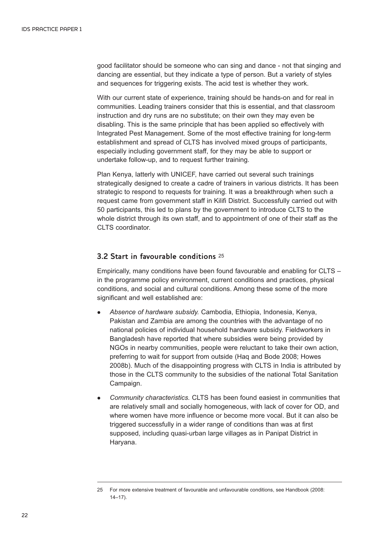good facilitator should be someone who can sing and dance - not that singing and dancing are essential, but they indicate a type of person. But a variety of styles and sequences for triggering exists. The acid test is whether they work.

With our current state of experience, training should be hands-on and for real in communities. Leading trainers consider that this is essential, and that classroom instruction and dry runs are no substitute; on their own they may even be disabling. This is the same principle that has been applied so effectively with Integrated Pest Management. Some of the most effective training for long-term establishment and spread of CLTS has involved mixed groups of participants, especially including government staff, for they may be able to support or undertake follow-up, and to request further training.

Plan Kenya, latterly with UNICEF, have carried out several such trainings strategically designed to create a cadre of trainers in various districts. It has been strategic to respond to requests for training. It was a breakthrough when such a request came from government staff in Kilifi District. Successfully carried out with 50 participants, this led to plans by the government to introduce CLTS to the whole district through its own staff, and to appointment of one of their staff as the CLTS coordinator.

### **3.2 Start in favourable conditions** <sup>25</sup>

Empirically, many conditions have been found favourable and enabling for CLTS – in the programme policy environment, current conditions and practices, physical conditions, and social and cultural conditions. Among these some of the more significant and well established are:

- l *Absence of hardware subsidy.* Cambodia, Ethiopia, Indonesia, Kenya, Pakistan and Zambia are among the countries with the advantage of no national policies of individual household hardware subsidy. Fieldworkers in Bangladesh have reported that where subsidies were being provided by NGOs in nearby communities, people were reluctant to take their own action, preferring to wait for support from outside (Haq and Bode 2008; Howes 2008b). Much of the disappointing progress with CLTS in India is attributed by those in the CLTS community to the subsidies of the national Total Sanitation Campaign.
- **•** Community characteristics. CLTS has been found easiest in communities that are relatively small and socially homogeneous, with lack of cover for OD, and where women have more influence or become more vocal. But it can also be triggered successfully in a wider range of conditions than was at first supposed, including quasi-urban large villages as in Panipat District in Haryana.

<sup>25</sup> For more extensive treatment of favourable and unfavourable conditions, see Handbook (2008: 14–17).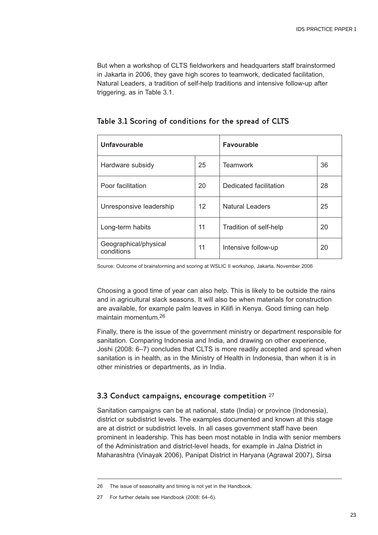But when a workshop of CLTS fieldworkers and headquarters staff brainstormed in Jakarta in 2006, they gave high scores to teamwork, dedicated facilitation, Natural Leaders, a tradition of self-help traditions and intensive follow-up after triggering, as in Table 3.1.

| Table 3.1 Scoring of conditions for the spread of CLTS |  |  |  |  |  |  |  |  |  |  |
|--------------------------------------------------------|--|--|--|--|--|--|--|--|--|--|
|--------------------------------------------------------|--|--|--|--|--|--|--|--|--|--|

| <b>Unfavourable</b>                 |    | <b>Favourable</b>      |    |
|-------------------------------------|----|------------------------|----|
| Hardware subsidy                    | 25 | Teamwork               | 36 |
| Poor facilitation                   | 20 | Dedicated facilitation | 28 |
| Unresponsive leadership             | 12 | Natural Leaders        | 25 |
| Long-term habits                    | 11 | Tradition of self-help | 20 |
| Geographical/physical<br>conditions | 11 | Intensive follow-up    | 20 |

Source: Outcome of brainstorming and scoring at WSLIC II workshop, Jakarta, November 2006

Choosing a good time of year can also help. This is likely to be outside the rains and in agricultural slack seasons. It will also be when materials for construction are available, for example palm leaves in Kilifi in Kenya. Good timing can help maintain momentum.26

Finally, there is the issue of the government ministry or department responsible for sanitation. Comparing Indonesia and India, and drawing on other experience, Joshi (2008: 6–7) concludes that CLTS is more readily accepted and spread when sanitation is in health, as in the Ministry of Health in Indonesia, than when it is in other ministries or departments, as in India.

### **3.3 Conduct campaigns, encourage competition** <sup>27</sup>

Sanitation campaigns can be at national, state (India) or province (Indonesia), district or subdistrict levels. The examples documented and known at this stage are at district or subdistrict levels. In all cases government staff have been prominent in leadership. This has been most notable in India with senior members of the Administration and district-level heads, for example in Jalna District in Maharashtra (Vinayak 2006), Panipat District in Haryana (Agrawal 2007), Sirsa

<sup>26</sup> The issue of seasonality and timing is not yet in the Handbook.

<sup>27</sup> For further details see Handbook (2008: 64–6).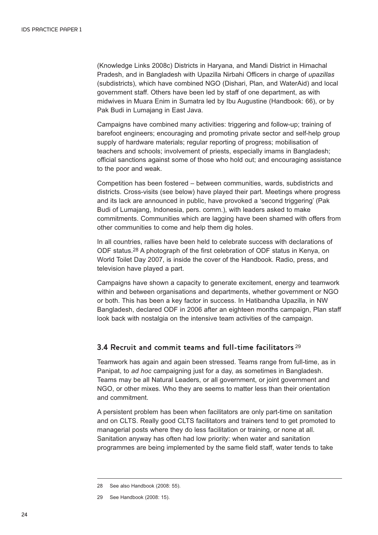(Knowledge Links 2008c) Districts in Haryana, and Mandi District in Himachal Pradesh, and in Bangladesh with Upazilla Nirbahi Officers in charge of *upazillas* (subdistricts), which have combined NGO (Dishari, Plan, and WaterAid) and local government staff. Others have been led by staff of one department, as with midwives in Muara Enim in Sumatra led by Ibu Augustine (Handbook: 66), or by Pak Budi in Lumajang in East Java.

Campaigns have combined many activities: triggering and follow-up; training of barefoot engineers; encouraging and promoting private sector and self-help group supply of hardware materials; regular reporting of progress; mobilisation of teachers and schools; involvement of priests, especially imams in Bangladesh; official sanctions against some of those who hold out; and encouraging assistance to the poor and weak.

Competition has been fostered – between communities, wards, subdistricts and districts. Cross-visits (see below) have played their part. Meetings where progress and its lack are announced in public, have provoked a 'second triggering' (Pak Budi of Lumajang, Indonesia, pers. comm.), with leaders asked to make commitments. Communities which are lagging have been shamed with offers from other communities to come and help them dig holes.

In all countries, rallies have been held to celebrate success with declarations of ODF status.28 A photograph of the first celebration of ODF status in Kenya, on World Toilet Day 2007, is inside the cover of the Handbook. Radio, press, and television have played a part.

Campaigns have shown a capacity to generate excitement, energy and teamwork within and between organisations and departments, whether government or NGO or both. This has been a key factor in success. In Hatibandha Upazilla, in NW Bangladesh, declared ODF in 2006 after an eighteen months campaign, Plan staff look back with nostalgia on the intensive team activities of the campaign.

### **3.4 Recruit and commit teams and full-time facilitators** <sup>29</sup>

Teamwork has again and again been stressed. Teams range from full-time, as in Panipat, to *ad hoc* campaigning just for a day, as sometimes in Bangladesh. Teams may be all Natural Leaders, or all government, or joint government and NGO, or other mixes. Who they are seems to matter less than their orientation and commitment.

A persistent problem has been when facilitators are only part-time on sanitation and on CLTS. Really good CLTS facilitators and trainers tend to get promoted to managerial posts where they do less facilitation or training, or none at all. Sanitation anyway has often had low priority: when water and sanitation programmes are being implemented by the same field staff, water tends to take

<sup>28</sup> See also Handbook (2008: 55).

<sup>29</sup> See Handbook (2008: 15).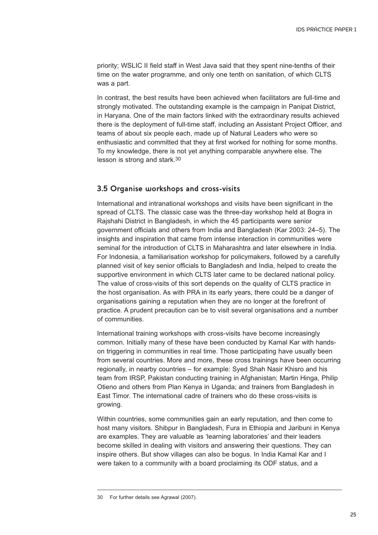priority; WSLIC II field staff in West Java said that they spent nine-tenths of their time on the water programme, and only one tenth on sanitation, of which CLTS was a part.

In contrast, the best results have been achieved when facilitators are full-time and strongly motivated. The outstanding example is the campaign in Panipat District, in Haryana. One of the main factors linked with the extraordinary results achieved there is the deployment of full-time staff, including an Assistant Project Officer, and teams of about six people each, made up of Natural Leaders who were so enthusiastic and committed that they at first worked for nothing for some months. To my knowledge, there is not yet anything comparable anywhere else. The lesson is strong and stark.30

### **3.5 Organise workshops and cross-visits**

International and intranational workshops and visits have been significant in the spread of CLTS. The classic case was the three-day workshop held at Bogra in Rajshahi District in Bangladesh, in which the 45 participants were senior government officials and others from India and Bangladesh (Kar 2003: 24–5). The insights and inspiration that came from intense interaction in communities were seminal for the introduction of CLTS in Maharashtra and later elsewhere in India. For Indonesia, a familiarisation workshop for policymakers, followed by a carefully planned visit of key senior officials to Bangladesh and India, helped to create the supportive environment in which CLTS later came to be declared national policy. The value of cross-visits of this sort depends on the quality of CLTS practice in the host organisation. As with PRA in its early years, there could be a danger of organisations gaining a reputation when they are no longer at the forefront of practice. A prudent precaution can be to visit several organisations and a number of communities.

International training workshops with cross-visits have become increasingly common. Initially many of these have been conducted by Kamal Kar with handson triggering in communities in real time. Those participating have usually been from several countries. More and more, these cross trainings have been occurring regionally, in nearby countries – for example: Syed Shah Nasir Khisro and his team from IRSP, Pakistan conducting training in Afghanistan; Martin Hinga, Philip Otieno and others from Plan Kenya in Uganda; and trainers from Bangladesh in East Timor. The international cadre of trainers who do these cross-visits is growing.

Within countries, some communities gain an early reputation, and then come to host many visitors. Shibpur in Bangladesh, Fura in Ethiopia and Jaribuni in Kenya are examples. They are valuable as 'learning laboratories' and their leaders become skilled in dealing with visitors and answering their questions. They can inspire others. But show villages can also be bogus. In India Kamal Kar and I were taken to a community with a board proclaiming its ODF status, and a

<sup>30</sup> For further details see Agrawal (2007).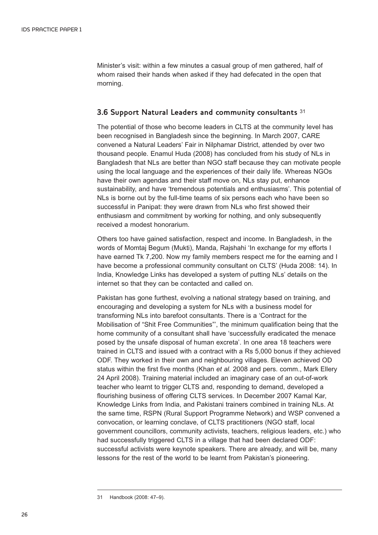Minister's visit: within a few minutes a casual group of men gathered, half of whom raised their hands when asked if they had defecated in the open that morning.

### **3.6 Support Natural Leaders and community consultants** <sup>31</sup>

The potential of those who become leaders in CLTS at the community level has been recognised in Bangladesh since the beginning. In March 2007, CARE convened a Natural Leaders' Fair in Nilphamar District, attended by over two thousand people. Enamul Huda (2008) has concluded from his study of NLs in Bangladesh that NLs are better than NGO staff because they can motivate people using the local language and the experiences of their daily life. Whereas NGOs have their own agendas and their staff move on, NLs stay put, enhance sustainability, and have 'tremendous potentials and enthusiasms'. This potential of NLs is borne out by the full-time teams of six persons each who have been so successful in Panipat: they were drawn from NLs who first showed their enthusiasm and commitment by working for nothing, and only subsequently received a modest honorarium.

Others too have gained satisfaction, respect and income. In Bangladesh, in the words of Momtaj Begum (Mukti), Manda, Rajshahi 'In exchange for my efforts I have earned Tk 7,200. Now my family members respect me for the earning and I have become a professional community consultant on CLTS' (Huda 2008: 14). In India, Knowledge Links has developed a system of putting NLs' details on the internet so that they can be contacted and called on.

Pakistan has gone furthest, evolving a national strategy based on training, and encouraging and developing a system for NLs with a business model for transforming NLs into barefoot consultants. There is a 'Contract for the Mobilisation of "Shit Free Communities"', the minimum qualification being that the home community of a consultant shall have 'successfully eradicated the menace posed by the unsafe disposal of human excreta'. In one area 18 teachers were trained in CLTS and issued with a contract with a Rs 5,000 bonus if they achieved ODF. They worked in their own and neighbouring villages. Eleven achieved OD status within the first five months (Khan *et al.* 2008 and pers. comm., Mark Ellery 24 April 2008). Training material included an imaginary case of an out-of-work teacher who learnt to trigger CLTS and, responding to demand, developed a flourishing business of offering CLTS services. In December 2007 Kamal Kar, Knowledge Links from India, and Pakistani trainers combined in training NLs. At the same time, RSPN (Rural Support Programme Network) and WSP convened a convocation, or learning conclave, of CLTS practitioners (NGO staff, local government councillors, community activists, teachers, religious leaders, etc.) who had successfully triggered CLTS in a village that had been declared ODF: successful activists were keynote speakers. There are already, and will be, many lessons for the rest of the world to be learnt from Pakistan's pioneering.

<sup>31</sup> Handbook (2008: 47–9).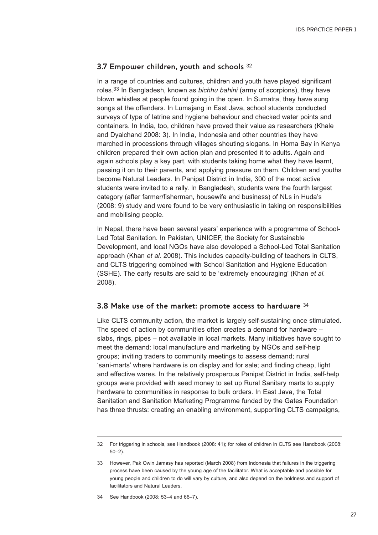### **3.7 Empower children, youth and schools** <sup>32</sup>

In a range of countries and cultures, children and youth have played significant roles.33 In Bangladesh, known as *bichhu bahini* (army of scorpions), they have blown whistles at people found going in the open. In Sumatra, they have sung songs at the offenders. In Lumajang in East Java, school students conducted surveys of type of latrine and hygiene behaviour and checked water points and containers. In India, too, children have proved their value as researchers (Khale and Dyalchand 2008: 3). In India, Indonesia and other countries they have marched in processions through villages shouting slogans. In Homa Bay in Kenya children prepared their own action plan and presented it to adults. Again and again schools play a key part, with students taking home what they have learnt, passing it on to their parents, and applying pressure on them. Children and youths become Natural Leaders. In Panipat District in India, 300 of the most active students were invited to a rally. In Bangladesh, students were the fourth largest category (after farmer/fisherman, housewife and business) of NLs in Huda's (2008: 9) study and were found to be very enthusiastic in taking on responsibilities and mobilising people.

In Nepal, there have been several years' experience with a programme of School-Led Total Sanitation. In Pakistan, UNICEF, the Society for Sustainable Development, and local NGOs have also developed a School-Led Total Sanitation approach (Khan *et al.* 2008). This includes capacity-building of teachers in CLTS, and CLTS triggering combined with School Sanitation and Hygiene Education (SSHE). The early results are said to be 'extremely encouraging' (Khan *et al.* 2008).

### **3.8 Make use of the market: promote access to hardware** <sup>34</sup>

Like CLTS community action, the market is largely self-sustaining once stimulated. The speed of action by communities often creates a demand for hardware – slabs, rings, pipes – not available in local markets. Many initiatives have sought to meet the demand: local manufacture and marketing by NGOs and self-help groups; inviting traders to community meetings to assess demand; rural 'sani-marts' where hardware is on display and for sale; and finding cheap, light and effective wares. In the relatively prosperous Panipat District in India, self-help groups were provided with seed money to set up Rural Sanitary marts to supply hardware to communities in response to bulk orders. In East Java, the Total Sanitation and Sanitation Marketing Programme funded by the Gates Foundation has three thrusts: creating an enabling environment, supporting CLTS campaigns,

<sup>32</sup> For triggering in schools, see Handbook (2008: 41); for roles of children in CLTS see Handbook (2008:  $50-2)$ .

<sup>33</sup> However, Pak Owin Jamasy has reported (March 2008) from Indonesia that failures in the triggering process have been caused by the young age of the facilitator. What is acceptable and possible for young people and children to do will vary by culture, and also depend on the boldness and support of facilitators and Natural Leaders.

<sup>34</sup> See Handbook (2008: 53–4 and 66–7).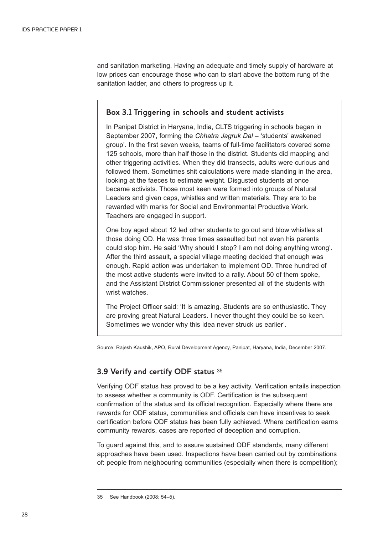and sanitation marketing. Having an adequate and timely supply of hardware at low prices can encourage those who can to start above the bottom rung of the sanitation ladder, and others to progress up it.

### **Box 3.1 Triggering in schools and student activists**

In Panipat District in Haryana, India, CLTS triggering in schools began in September 2007, forming the *Chhatra Jagruk Dal* – 'students' awakened group'. In the first seven weeks, teams of full-time facilitators covered some 125 schools, more than half those in the district. Students did mapping and other triggering activities. When they did transects, adults were curious and followed them. Sometimes shit calculations were made standing in the area, looking at the faeces to estimate weight. Disgusted students at once became activists. Those most keen were formed into groups of Natural Leaders and given caps, whistles and written materials. They are to be rewarded with marks for Social and Environmental Productive Work. Teachers are engaged in support.

One boy aged about 12 led other students to go out and blow whistles at those doing OD. He was three times assaulted but not even his parents could stop him. He said 'Why should I stop? I am not doing anything wrong'. After the third assault, a special village meeting decided that enough was enough. Rapid action was undertaken to implement OD. Three hundred of the most active students were invited to a rally. About 50 of them spoke, and the Assistant District Commissioner presented all of the students with wrist watches.

The Project Officer said: 'It is amazing. Students are so enthusiastic. They are proving great Natural Leaders. I never thought they could be so keen. Sometimes we wonder why this idea never struck us earlier'.

Source: Rajesh Kaushik, APO, Rural Development Agency, Panipat, Haryana, India, December 2007.

### **3.9 Verify and certify ODF status** <sup>35</sup>

Verifying ODF status has proved to be a key activity. Verification entails inspection to assess whether a community is ODF. Certification is the subsequent confirmation of the status and its official recognition. Especially where there are rewards for ODF status, communities and officials can have incentives to seek certification before ODF status has been fully achieved. Where certification earns community rewards, cases are reported of deception and corruption.

To guard against this, and to assure sustained ODF standards, many different approaches have been used. Inspections have been carried out by combinations of: people from neighbouring communities (especially when there is competition);

<sup>35</sup> See Handbook (2008: 54–5).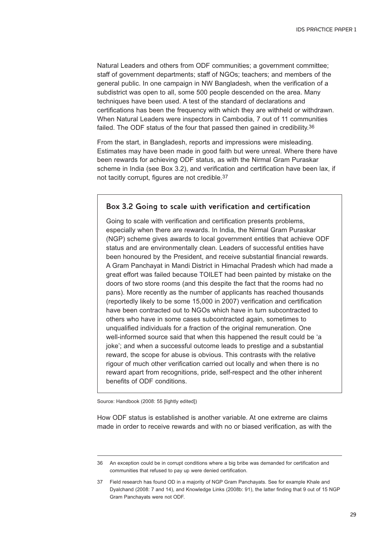Natural Leaders and others from ODF communities; a government committee; staff of government departments; staff of NGOs; teachers; and members of the general public. In one campaign in NW Bangladesh, when the verification of a subdistrict was open to all, some 500 people descended on the area. Many techniques have been used. A test of the standard of declarations and certifications has been the frequency with which they are withheld or withdrawn. When Natural Leaders were inspectors in Cambodia, 7 out of 11 communities failed. The ODF status of the four that passed then gained in credibility.<sup>36</sup>

From the start, in Bangladesh, reports and impressions were misleading. Estimates may have been made in good faith but were unreal. Where there have been rewards for achieving ODF status, as with the Nirmal Gram Puraskar scheme in India (see Box 3.2), and verification and certification have been lax, if not tacitly corrupt, figures are not credible.37

### **Box 3.2 Going to scale with verification and certification**

Going to scale with verification and certification presents problems, especially when there are rewards. In India, the Nirmal Gram Puraskar (NGP) scheme gives awards to local government entities that achieve ODF status and are environmentally clean. Leaders of successful entities have been honoured by the President, and receive substantial financial rewards. A Gram Panchayat in Mandi District in Himachal Pradesh which had made a great effort was failed because TOILET had been painted by mistake on the doors of two store rooms (and this despite the fact that the rooms had no pans). More recently as the number of applicants has reached thousands (reportedly likely to be some 15,000 in 2007) verification and certification have been contracted out to NGOs which have in turn subcontracted to others who have in some cases subcontracted again, sometimes to unqualified individuals for a fraction of the original remuneration. One well-informed source said that when this happened the result could be 'a joke'; and when a successful outcome leads to prestige and a substantial reward, the scope for abuse is obvious. This contrasts with the relative rigour of much other verification carried out locally and when there is no reward apart from recognitions, pride, self-respect and the other inherent benefits of ODF conditions.

Source: Handbook (2008: 55 [lightly edited])

How ODF status is established is another variable. At one extreme are claims made in order to receive rewards and with no or biased verification, as with the

<sup>36</sup> An exception could be in corrupt conditions where a big bribe was demanded for certification and communities that refused to pay up were denied certification.

<sup>37</sup> Field research has found OD in a majority of NGP Gram Panchayats. See for example Khale and Dyalchand (2008: 7 and 14), and Knowledge Links (2008b: 91), the latter finding that 9 out of 15 NGP Gram Panchayats were not ODF.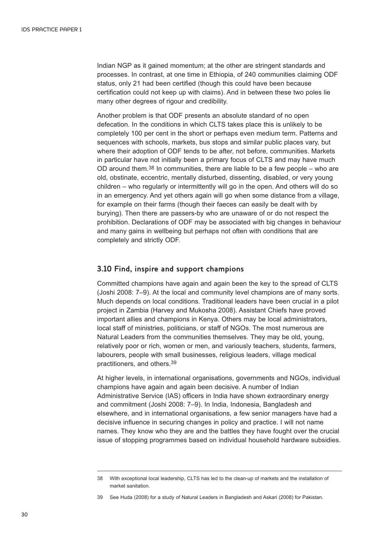Indian NGP as it gained momentum; at the other are stringent standards and processes. In contrast, at one time in Ethiopia, of 240 communities claiming ODF status, only 21 had been certified (though this could have been because certification could not keep up with claims). And in between these two poles lie many other degrees of rigour and credibility.

Another problem is that ODF presents an absolute standard of no open defecation. In the conditions in which CLTS takes place this is unlikely to be completely 100 per cent in the short or perhaps even medium term. Patterns and sequences with schools, markets, bus stops and similar public places vary, but where their adoption of ODF tends to be after, not before, communities. Markets in particular have not initially been a primary focus of CLTS and may have much OD around them. $38$  In communities, there are liable to be a few people – who are old, obstinate, eccentric, mentally disturbed, dissenting, disabled, or very young children – who regularly or intermittently will go in the open. And others will do so in an emergency. And yet others again will go when some distance from a village, for example on their farms (though their faeces can easily be dealt with by burying). Then there are passers-by who are unaware of or do not respect the prohibition. Declarations of ODF may be associated with big changes in behaviour and many gains in wellbeing but perhaps not often with conditions that are completely and strictly ODF.

### **3.10 Find, inspire and support champions**

Committed champions have again and again been the key to the spread of CLTS (Joshi 2008: 7–9). At the local and community level champions are of many sorts. Much depends on local conditions. Traditional leaders have been crucial in a pilot project in Zambia (Harvey and Mukosha 2008). Assistant Chiefs have proved important allies and champions in Kenya. Others may be local administrators, local staff of ministries, politicians, or staff of NGOs. The most numerous are Natural Leaders from the communities themselves. They may be old, young, relatively poor or rich, women or men, and variously teachers, students, farmers, labourers, people with small businesses, religious leaders, village medical practitioners, and others.39

At higher levels, in international organisations, governments and NGOs, individual champions have again and again been decisive. A number of Indian Administrative Service (IAS) officers in India have shown extraordinary energy and commitment (Joshi 2008: 7–9). In India, Indonesia, Bangladesh and elsewhere, and in international organisations, a few senior managers have had a decisive influence in securing changes in policy and practice. I will not name names. They know who they are and the battles they have fought over the crucial issue of stopping programmes based on individual household hardware subsidies.

<sup>38</sup> With exceptional local leadership, CLTS has led to the clean-up of markets and the installation of market sanitation.

<sup>39</sup> See Huda (2008) for a study of Natural Leaders in Bangladesh and Askari (2008) for Pakistan.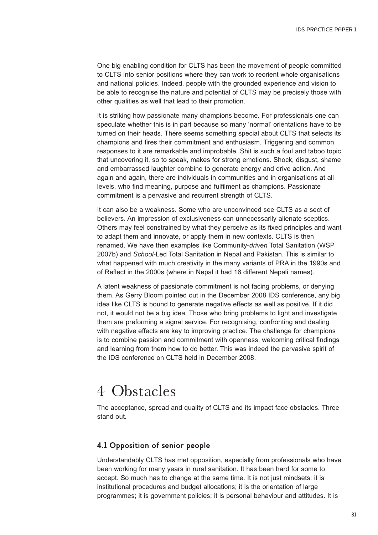One big enabling condition for CLTS has been the movement of people committed to CLTS into senior positions where they can work to reorient whole organisations and national policies. Indeed, people with the grounded experience and vision to be able to recognise the nature and potential of CLTS may be precisely those with other qualities as well that lead to their promotion.

It is striking how passionate many champions become. For professionals one can speculate whether this is in part because so many 'normal' orientations have to be turned on their heads. There seems something special about CLTS that selects its champions and fires their commitment and enthusiasm. Triggering and common responses to it are remarkable and improbable. Shit is such a foul and taboo topic that uncovering it, so to speak, makes for strong emotions. Shock, disgust, shame and embarrassed laughter combine to generate energy and drive action. And again and again, there are individuals in communities and in organisations at all levels, who find meaning, purpose and fulfilment as champions. Passionate commitment is a pervasive and recurrent strength of CLTS.

It can also be a weakness. Some who are unconvinced see CLTS as a sect of believers. An impression of exclusiveness can unnecessarily alienate sceptics. Others may feel constrained by what they perceive as its fixed principles and want to adapt them and innovate, or apply them in new contexts. CLTS is then renamed. We have then examples like Community-*driven* Total Sanitation (WSP 2007b) and *School*-Led Total Sanitation in Nepal and Pakistan. This is similar to what happened with much creativity in the many variants of PRA in the 1990s and of Reflect in the 2000s (where in Nepal it had 16 different Nepali names).

A latent weakness of passionate commitment is not facing problems, or denying them. As Gerry Bloom pointed out in the December 2008 IDS conference, any big idea like CLTS is bound to generate negative effects as well as positive. If it did not, it would not be a big idea. Those who bring problems to light and investigate them are preforming a signal service. For recognising, confronting and dealing with negative effects are key to improving practice. The challenge for champions is to combine passion and commitment with openness, welcoming critical findings and learning from them how to do better. This was indeed the pervasive spirit of the IDS conference on CLTS held in December 2008.

# 4 Obstacles

The acceptance, spread and quality of CLTS and its impact face obstacles. Three stand out.

## **4.1 Opposition of senior people**

Understandably CLTS has met opposition, especially from professionals who have been working for many years in rural sanitation. It has been hard for some to accept. So much has to change at the same time. It is not just mindsets: it is institutional procedures and budget allocations; it is the orientation of large programmes; it is government policies; it is personal behaviour and attitudes. It is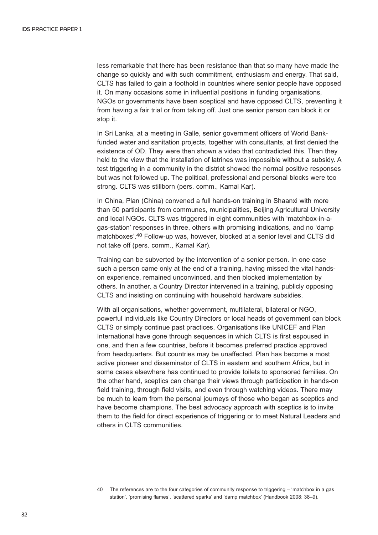less remarkable that there has been resistance than that so many have made the change so quickly and with such commitment, enthusiasm and energy. That said, CLTS has failed to gain a foothold in countries where senior people have opposed it. On many occasions some in influential positions in funding organisations, NGOs or governments have been sceptical and have opposed CLTS, preventing it from having a fair trial or from taking off. Just one senior person can block it or stop it.

In Sri Lanka, at a meeting in Galle, senior government officers of World Bankfunded water and sanitation projects, together with consultants, at first denied the existence of OD. They were then shown a video that contradicted this. Then they held to the view that the installation of latrines was impossible without a subsidy. A test triggering in a community in the district showed the normal positive responses but was not followed up. The political, professional and personal blocks were too strong. CLTS was stillborn (pers. comm., Kamal Kar).

In China, Plan (China) convened a full hands-on training in Shaanxi with more than 50 participants from communes, municipalities, Beijing Agricultural University and local NGOs. CLTS was triggered in eight communities with 'matchbox-in-agas-station' responses in three, others with promising indications, and no 'damp matchboxes'.40 Follow-up was, however, blocked at a senior level and CLTS did not take off (pers. comm., Kamal Kar).

Training can be subverted by the intervention of a senior person. In one case such a person came only at the end of a training, having missed the vital handson experience, remained unconvinced, and then blocked implementation by others. In another, a Country Director intervened in a training, publicly opposing CLTS and insisting on continuing with household hardware subsidies.

With all organisations, whether government, multilateral, bilateral or NGO, powerful individuals like Country Directors or local heads of government can block CLTS or simply continue past practices. Organisations like UNICEF and Plan International have gone through sequences in which CLTS is first espoused in one, and then a few countries, before it becomes preferred practice approved from headquarters. But countries may be unaffected. Plan has become a most active pioneer and disseminator of CLTS in eastern and southern Africa, but in some cases elsewhere has continued to provide toilets to sponsored families. On the other hand, sceptics can change their views through participation in hands-on field training, through field visits, and even through watching videos. There may be much to learn from the personal journeys of those who began as sceptics and have become champions. The best advocacy approach with sceptics is to invite them to the field for direct experience of triggering or to meet Natural Leaders and others in CLTS communities.

<sup>40</sup> The references are to the four categories of community response to triggering – 'matchbox in a gas station', 'promising flames', 'scattered sparks' and 'damp matchbox' (Handbook 2008: 38–9).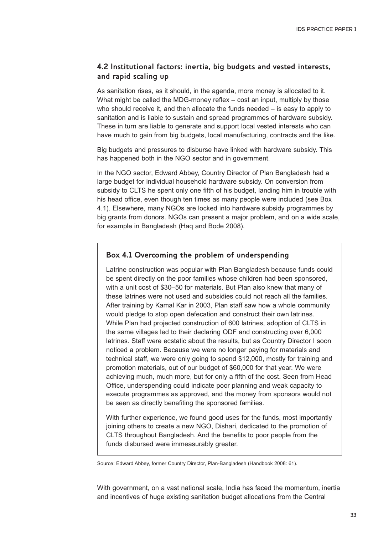### **4.2 Institutional factors: inertia, big budgets and vested interests, and rapid scaling up**

As sanitation rises, as it should, in the agenda, more money is allocated to it. What might be called the MDG-money reflex – cost an input, multiply by those who should receive it, and then allocate the funds needed – is easy to apply to sanitation and is liable to sustain and spread programmes of hardware subsidy. These in turn are liable to generate and support local vested interests who can have much to gain from big budgets, local manufacturing, contracts and the like.

Big budgets and pressures to disburse have linked with hardware subsidy. This has happened both in the NGO sector and in government.

In the NGO sector, Edward Abbey, Country Director of Plan Bangladesh had a large budget for individual household hardware subsidy. On conversion from subsidy to CLTS he spent only one fifth of his budget, landing him in trouble with his head office, even though ten times as many people were included (see Box 4.1). Elsewhere, many NGOs are locked into hardware subsidy programmes by big grants from donors. NGOs can present a major problem, and on a wide scale, for example in Bangladesh (Haq and Bode 2008).

### **Box 4.1 Overcoming the problem of underspending**

Latrine construction was popular with Plan Bangladesh because funds could be spent directly on the poor families whose children had been sponsored, with a unit cost of \$30–50 for materials. But Plan also knew that many of these latrines were not used and subsidies could not reach all the families. After training by Kamal Kar in 2003, Plan staff saw how a whole community would pledge to stop open defecation and construct their own latrines. While Plan had projected construction of 600 latrines, adoption of CLTS in the same villages led to their declaring ODF and constructing over 6,000 latrines. Staff were ecstatic about the results, but as Country Director I soon noticed a problem. Because we were no longer paying for materials and technical staff, we were only going to spend \$12,000, mostly for training and promotion materials, out of our budget of \$60,000 for that year. We were achieving much, much more, but for only a fifth of the cost. Seen from Head Office, underspending could indicate poor planning and weak capacity to execute programmes as approved, and the money from sponsors would not be seen as directly benefiting the sponsored families.

With further experience, we found good uses for the funds, most importantly joining others to create a new NGO, Dishari, dedicated to the promotion of CLTS throughout Bangladesh. And the benefits to poor people from the funds disbursed were immeasurably greater.

With government, on a vast national scale, India has faced the momentum, inertia and incentives of huge existing sanitation budget allocations from the Central

Source: Edward Abbey, former Country Director, Plan-Bangladesh (Handbook 2008: 61).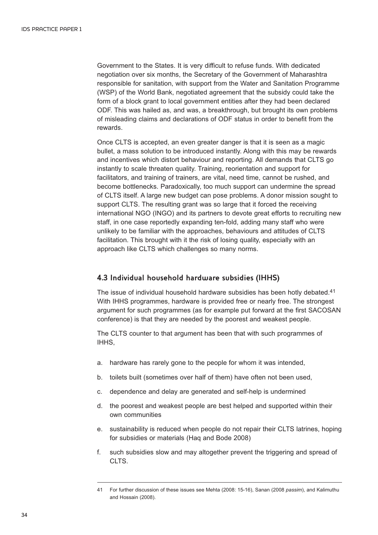Government to the States. It is very difficult to refuse funds. With dedicated negotiation over six months, the Secretary of the Government of Maharashtra responsible for sanitation, with support from the Water and Sanitation Programme (WSP) of the World Bank, negotiated agreement that the subsidy could take the form of a block grant to local government entities after they had been declared ODF. This was hailed as, and was, a breakthrough, but brought its own problems of misleading claims and declarations of ODF status in order to benefit from the rewards.

Once CLTS is accepted, an even greater danger is that it is seen as a magic bullet, a mass solution to be introduced instantly. Along with this may be rewards and incentives which distort behaviour and reporting. All demands that CLTS go instantly to scale threaten quality. Training, reorientation and support for facilitators, and training of trainers, are vital, need time, cannot be rushed, and become bottlenecks. Paradoxically, too much support can undermine the spread of CLTS itself. A large new budget can pose problems. A donor mission sought to support CLTS. The resulting grant was so large that it forced the receiving international NGO (INGO) and its partners to devote great efforts to recruiting new staff, in one case reportedly expanding ten-fold, adding many staff who were unlikely to be familiar with the approaches, behaviours and attitudes of CLTS facilitation. This brought with it the risk of losing quality, especially with an approach like CLTS which challenges so many norms.

### **4.3 Individual household hardware subsidies (IHHS)**

The issue of individual household hardware subsidies has been hotly debated.<sup>41</sup> With IHHS programmes, hardware is provided free or nearly free. The strongest argument for such programmes (as for example put forward at the first SACOSAN conference) is that they are needed by the poorest and weakest people.

The CLTS counter to that argument has been that with such programmes of IHHS,

- a. hardware has rarely gone to the people for whom it was intended,
- b. toilets built (sometimes over half of them) have often not been used,
- c. dependence and delay are generated and self-help is undermined
- d. the poorest and weakest people are best helped and supported within their own communities
- e. sustainability is reduced when people do not repair their CLTS latrines, hoping for subsidies or materials (Haq and Bode 2008)
- f. such subsidies slow and may altogether prevent the triggering and spread of CLTS.

<sup>41</sup> For further discussion of these issues see Mehta (2008: 15-16), Sanan (2008 *passim*), and Kalimuthu and Hossain (2008).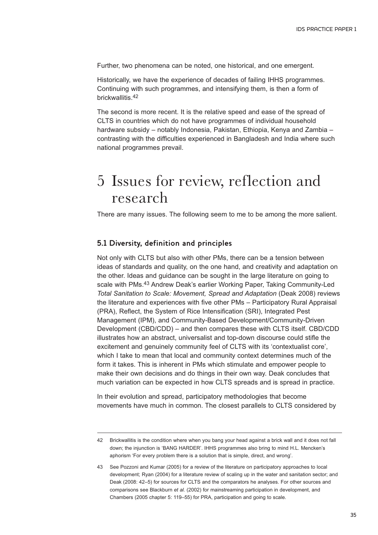Further, two phenomena can be noted, one historical, and one emergent.

Historically, we have the experience of decades of failing IHHS programmes. Continuing with such programmes, and intensifying them, is then a form of brickwallitis.42

The second is more recent. It is the relative speed and ease of the spread of CLTS in countries which do not have programmes of individual household hardware subsidy – notably Indonesia, Pakistan, Ethiopia, Kenya and Zambia – contrasting with the difficulties experienced in Bangladesh and India where such national programmes prevail.

# 5 Issues for review, reflection and research

There are many issues. The following seem to me to be among the more salient.

### **5.1 Diversity, definition and principles**

Not only with CLTS but also with other PMs, there can be a tension between ideas of standards and quality, on the one hand, and creativity and adaptation on the other. Ideas and guidance can be sought in the large literature on going to scale with PMs.43 Andrew Deak's earlier Working Paper, Taking Community-Led *Total Sanitation to Scale: Movement, Spread and Adaptation* (Deak 2008) reviews the literature and experiences with five other PMs – Participatory Rural Appraisal (PRA), Reflect, the System of Rice Intensification (SRI), Integrated Pest Management (IPM), and Community-Based Development/Community-Driven Development (CBD/CDD) – and then compares these with CLTS itself. CBD/CDD illustrates how an abstract, universalist and top-down discourse could stifle the excitement and genuinely community feel of CLTS with its 'contextualist core', which I take to mean that local and community context determines much of the form it takes. This is inherent in PMs which stimulate and empower people to make their own decisions and do things in their own way. Deak concludes that much variation can be expected in how CLTS spreads and is spread in practice.

In their evolution and spread, participatory methodologies that become movements have much in common. The closest parallels to CLTS considered by

<sup>42</sup> Brickwallitis is the condition where when you bang your head against a brick wall and it does not fall down; the injunction is 'BANG HARDER'. IHHS programmes also bring to mind H.L. Mencken's aphorism 'For every problem there is a solution that is simple, direct, and wrong'.

<sup>43</sup> See Pozzoni and Kumar (2005) for a review of the literature on participatory approaches to local development; Ryan (2004) for a literature review of scaling up in the water and sanitation sector; and Deak (2008: 42–5) for sources for CLTS and the comparators he analyses. For other sources and comparisons see Blackburn *et al.* (2002) for mainstreaming participation in development, and Chambers (2005 chapter 5: 119–55) for PRA, participation and going to scale.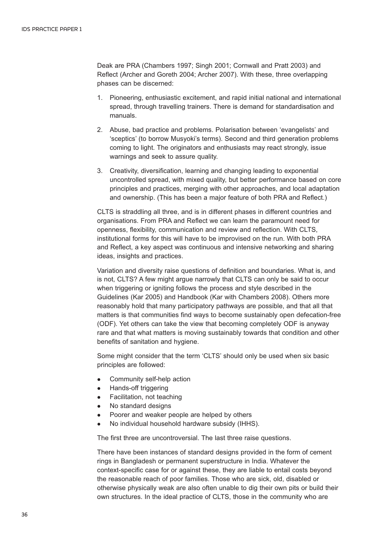Deak are PRA (Chambers 1997; Singh 2001; Cornwall and Pratt 2003) and Reflect (Archer and Goreth 2004; Archer 2007). With these, three overlapping phases can be discerned:

- 1. Pioneering, enthusiastic excitement, and rapid initial national and international spread, through travelling trainers. There is demand for standardisation and manuals.
- 2. Abuse, bad practice and problems. Polarisation between 'evangelists' and 'sceptics' (to borrow Musyoki's terms). Second and third generation problems coming to light. The originators and enthusiasts may react strongly, issue warnings and seek to assure quality.
- 3. Creativity, diversification, learning and changing leading to exponential uncontrolled spread, with mixed quality, but better performance based on core principles and practices, merging with other approaches, and local adaptation and ownership. (This has been a major feature of both PRA and Reflect.)

CLTS is straddling all three, and is in different phases in different countries and organisations. From PRA and Reflect we can learn the paramount need for openness, flexibility, communication and review and reflection. With CLTS, institutional forms for this will have to be improvised on the run. With both PRA and Reflect, a key aspect was continuous and intensive networking and sharing ideas, insights and practices.

Variation and diversity raise questions of definition and boundaries. What is, and is not, CLTS? A few might argue narrowly that CLTS can only be said to occur when triggering or igniting follows the process and style described in the Guidelines (Kar 2005) and Handbook (Kar with Chambers 2008). Others more reasonably hold that many participatory pathways are possible, and that all that matters is that communities find ways to become sustainably open defecation-free (ODF). Yet others can take the view that becoming completely ODF is anyway rare and that what matters is moving sustainably towards that condition and other benefits of sanitation and hygiene.

Some might consider that the term 'CLTS' should only be used when six basic principles are followed:

- Community self-help action
- Hands-off triggering
- $\bullet$  Facilitation, not teaching
- No standard designs
- Poorer and weaker people are helped by others
- No individual household hardware subsidy (IHHS).

The first three are uncontroversial. The last three raise questions.

There have been instances of standard designs provided in the form of cement rings in Bangladesh or permanent superstructure in India. Whatever the context-specific case for or against these, they are liable to entail costs beyond the reasonable reach of poor families. Those who are sick, old, disabled or otherwise physically weak are also often unable to dig their own pits or build their own structures. In the ideal practice of CLTS, those in the community who are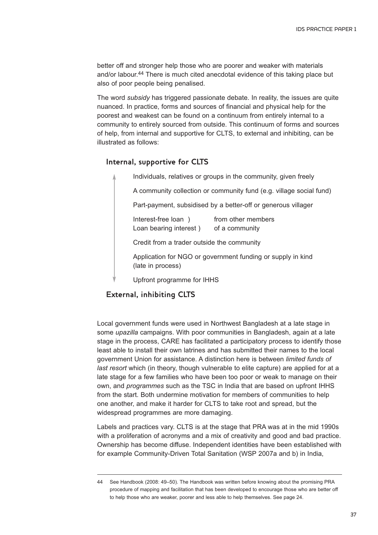better off and stronger help those who are poorer and weaker with materials and/or labour.<sup>44</sup> There is much cited anecdotal evidence of this taking place but also of poor people being penalised.

The word *subsidy* has triggered passionate debate. In reality, the issues are quite nuanced. In practice, forms and sources of financial and physical help for the poorest and weakest can be found on a continuum from entirely internal to a community to entirely sourced from outside. This continuum of forms and sources of help, from internal and supportive for CLTS, to external and inhibiting, can be illustrated as follows:

### **Internal, supportive for CLTS**

Individuals, relatives or groups in the community, given freely A community collection or community fund (e.g. village social fund) Part-payment, subsidised by a better-off or generous villager Interest-free loan ) from other members Loan bearing interest ) of a community Credit from a trader outside the community Application for NGO or government funding or supply in kind (late in process) Upfront programme for IHHS

### **External, inhibiting CLTS**

Local government funds were used in Northwest Bangladesh at a late stage in some *upazilla* campaigns. With poor communities in Bangladesh, again at a late stage in the process, CARE has facilitated a participatory process to identify those least able to install their own latrines and has submitted their names to the local government Union for assistance. A distinction here is between *limited funds of last resort* which (in theory, though vulnerable to elite capture) are applied for at a late stage for a few families who have been too poor or weak to manage on their own, and *programmes* such as the TSC in India that are based on upfront IHHS from the start. Both undermine motivation for members of communities to help one another, and make it harder for CLTS to take root and spread, but the widespread programmes are more damaging.

Labels and practices vary. CLTS is at the stage that PRA was at in the mid 1990s with a proliferation of acronyms and a mix of creativity and good and bad practice. Ownership has become diffuse. Independent identities have been established with for example Community-Driven Total Sanitation (WSP 2007a and b) in India,

<sup>44</sup> See Handbook (2008: 49–50). The Handbook was written before knowing about the promising PRA procedure of mapping and facilitation that has been developed to encourage those who are better off to help those who are weaker, poorer and less able to help themselves. See page 24.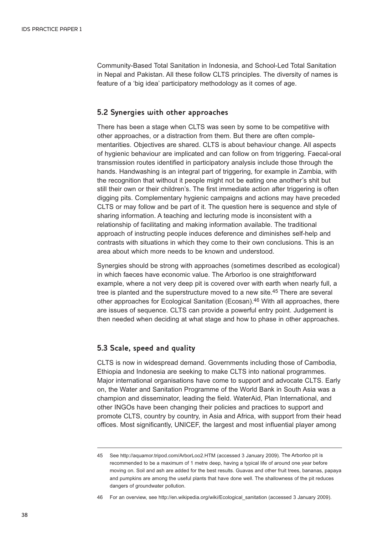Community-Based Total Sanitation in Indonesia, and School-Led Total Sanitation in Nepal and Pakistan. All these follow CLTS principles. The diversity of names is feature of a 'big idea' participatory methodology as it comes of age.

### **5.2 Synergies with other approaches**

There has been a stage when CLTS was seen by some to be competitive with other approaches, or a distraction from them. But there are often complementarities. Objectives are shared. CLTS is about behaviour change. All aspects of hygienic behaviour are implicated and can follow on from triggering. Faecal-oral transmission routes identified in participatory analysis include those through the hands. Handwashing is an integral part of triggering, for example in Zambia, with the recognition that without it people might not be eating one another's shit but still their own or their children's. The first immediate action after triggering is often digging pits. Complementary hygienic campaigns and actions may have preceded CLTS or may follow and be part of it. The question here is sequence and style of sharing information. A teaching and lecturing mode is inconsistent with a relationship of facilitating and making information available. The traditional approach of instructing people induces deference and diminishes self-help and contrasts with situations in which they come to their own conclusions. This is an area about which more needs to be known and understood.

Synergies should be strong with approaches (sometimes described as ecological) in which faeces have economic value. The Arborloo is one straightforward example, where a not very deep pit is covered over with earth when nearly full, a tree is planted and the superstructure moved to a new site.<sup>45</sup> There are several other approaches for Ecological Sanitation (Ecosan).46 With all approaches, there are issues of sequence. CLTS can provide a powerful entry point. Judgement is then needed when deciding at what stage and how to phase in other approaches.

### **5.3 Scale, speed and quality**

CLTS is now in widespread demand. Governments including those of Cambodia, Ethiopia and Indonesia are seeking to make CLTS into national programmes. Major international organisations have come to support and advocate CLTS. Early on, the Water and Sanitation Programme of the World Bank in South Asia was a champion and disseminator, leading the field. WaterAid, Plan International, and other INGOs have been changing their policies and practices to support and promote CLTS, country by country, in Asia and Africa, with support from their head offices. Most significantly, UNICEF, the largest and most influential player among

<sup>45</sup> See http://aquamor.tripod.com/ArborLoo2.HTM (accessed 3 January 2009). The Arborloo pit is recommended to be a maximum of 1 metre deep, having a typical life of around one year before moving on. Soil and ash are added for the best results. Guavas and other fruit trees, bananas, papaya and pumpkins are among the useful plants that have done well. The shallowness of the pit reduces dangers of groundwater pollution.

<sup>46</sup> For an overview, see http://en.wikipedia.org/wiki/Ecological\_sanitation (accessed 3 January 2009).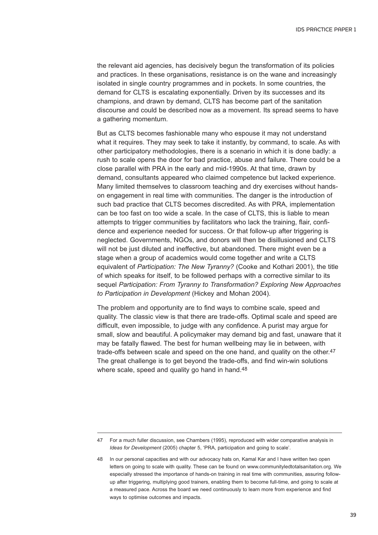the relevant aid agencies, has decisively begun the transformation of its policies and practices. In these organisations, resistance is on the wane and increasingly isolated in single country programmes and in pockets. In some countries, the demand for CLTS is escalating exponentially. Driven by its successes and its champions, and drawn by demand, CLTS has become part of the sanitation discourse and could be described now as a movement. Its spread seems to have a gathering momentum.

But as CLTS becomes fashionable many who espouse it may not understand what it requires. They may seek to take it instantly, by command, to scale. As with other participatory methodologies, there is a scenario in which it is done badly: a rush to scale opens the door for bad practice, abuse and failure. There could be a close parallel with PRA in the early and mid-1990s. At that time, drawn by demand, consultants appeared who claimed competence but lacked experience. Many limited themselves to classroom teaching and dry exercises without handson engagement in real time with communities. The danger is the introduction of such bad practice that CLTS becomes discredited. As with PRA, implementation can be too fast on too wide a scale. In the case of CLTS, this is liable to mean attempts to trigger communities by facilitators who lack the training, flair, confidence and experience needed for success. Or that follow-up after triggering is neglected. Governments, NGOs, and donors will then be disillusioned and CLTS will not be just diluted and ineffective, but abandoned. There might even be a stage when a group of academics would come together and write a CLTS equivalent of *Participation: The New Tyranny?* (Cooke and Kothari 2001), the title of which speaks for itself, to be followed perhaps with a corrective similar to its sequel *Participation: From Tyranny to Transformation? Exploring New Approaches to Participation in Development* (Hickey and Mohan 2004).

The problem and opportunity are to find ways to combine scale, speed and quality. The classic view is that there are trade-offs. Optimal scale and speed are difficult, even impossible, to judge with any confidence. A purist may argue for small, slow and beautiful. A policymaker may demand big and fast, unaware that it may be fatally flawed. The best for human wellbeing may lie in between, with trade-offs between scale and speed on the one hand, and quality on the other.<sup>47</sup> The great challenge is to get beyond the trade-offs, and find win-win solutions where scale, speed and quality go hand in hand.<sup>48</sup>

<sup>47</sup> For a much fuller discussion, see Chambers (1995), reproduced with wider comparative analysis in *Ideas for Development* (2005) chapter 5, 'PRA, participation and going to scale'.

<sup>48</sup> In our personal capacities and with our advocacy hats on, Kamal Kar and I have written two open letters on going to scale with quality. These can be found on www.communityledtotalsanitation.org. We especially stressed the importance of hands-on training in real time with communities, assuring followup after triggering, multiplying good trainers, enabling them to become full-time, and going to scale at a measured pace. Across the board we need continuously to learn more from experience and find ways to optimise outcomes and impacts.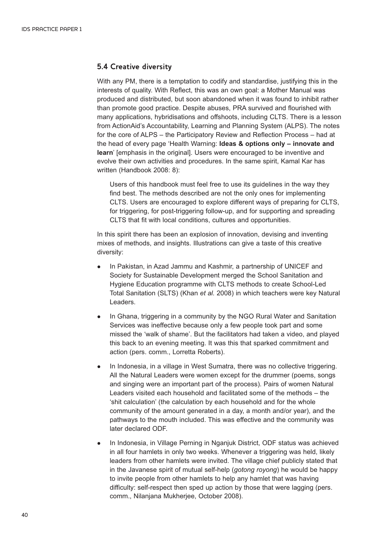### **5.4 Creative diversity**

With any PM, there is a temptation to codify and standardise, justifying this in the interests of quality. With Reflect, this was an own goal: a Mother Manual was produced and distributed, but soon abandoned when it was found to inhibit rather than promote good practice. Despite abuses, PRA survived and flourished with many applications, hybridisations and offshoots, including CLTS. There is a lesson from ActionAid's Accountability, Learning and Planning System (ALPS). The notes for the core of ALPS – the Participatory Review and Reflection Process – had at the head of every page 'Health Warning: **Ideas & options only – innovate and learn**' [emphasis in the original]. Users were encouraged to be inventive and evolve their own activities and procedures. In the same spirit, Kamal Kar has written (Handbook 2008: 8):

Users of this handbook must feel free to use its guidelines in the way they find best. The methods described are not the only ones for implementing CLTS. Users are encouraged to explore different ways of preparing for CLTS, for triggering, for post-triggering follow-up, and for supporting and spreading CLTS that fit with local conditions, cultures and opportunities.

In this spirit there has been an explosion of innovation, devising and inventing mixes of methods, and insights. Illustrations can give a taste of this creative diversity:

- In Pakistan, in Azad Jammu and Kashmir, a partnership of UNICEF and Society for Sustainable Development merged the School Sanitation and Hygiene Education programme with CLTS methods to create School-Led Total Sanitation (SLTS) (Khan *et al.* 2008) in which teachers were key Natural Leaders.
- In Ghana, triggering in a community by the NGO Rural Water and Sanitation Services was ineffective because only a few people took part and some missed the 'walk of shame'. But the facilitators had taken a video, and played this back to an evening meeting. It was this that sparked commitment and action (pers. comm., Lorretta Roberts).
- In Indonesia, in a village in West Sumatra, there was no collective triggering. All the Natural Leaders were women except for the drummer (poems, songs and singing were an important part of the process). Pairs of women Natural Leaders visited each household and facilitated some of the methods – the 'shit calculation' (the calculation by each household and for the whole community of the amount generated in a day, a month and/or year), and the pathways to the mouth included. This was effective and the community was later declared ODF.
- In Indonesia, in Village Perning in Nganjuk District, ODF status was achieved in all four hamlets in only two weeks. Whenever a triggering was held, likely leaders from other hamlets were invited. The village chief publicly stated that in the Javanese spirit of mutual self-help (*gotong royong*) he would be happy to invite people from other hamlets to help any hamlet that was having difficulty: self-respect then sped up action by those that were lagging (pers. comm., Nilanjana Mukherjee, October 2008).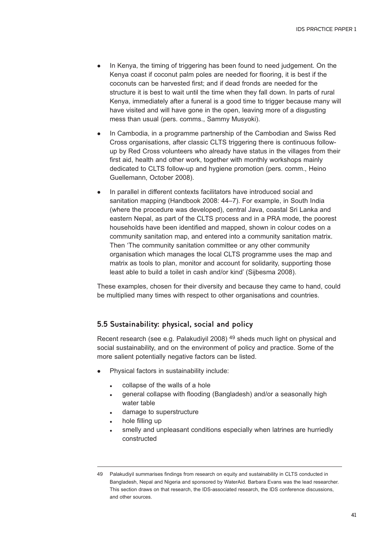- In Kenya, the timing of triggering has been found to need judgement. On the Kenya coast if coconut palm poles are needed for flooring, it is best if the coconuts can be harvested first; and if dead fronds are needed for the structure it is best to wait until the time when they fall down. In parts of rural Kenya, immediately after a funeral is a good time to trigger because many will have visited and will have gone in the open, leaving more of a disgusting mess than usual (pers. comms., Sammy Musyoki).
- In Cambodia, in a programme partnership of the Cambodian and Swiss Red Cross organisations, after classic CLTS triggering there is continuous followup by Red Cross volunteers who already have status in the villages from their first aid, health and other work, together with monthly workshops mainly dedicated to CLTS follow-up and hygiene promotion (pers. comm., Heino Guellemann, October 2008).
- In parallel in different contexts facilitators have introduced social and sanitation mapping (Handbook 2008: 44–7). For example, in South India (where the procedure was developed), central Java, coastal Sri Lanka and eastern Nepal, as part of the CLTS process and in a PRA mode, the poorest households have been identified and mapped, shown in colour codes on a community sanitation map, and entered into a community sanitation matrix. Then 'The community sanitation committee or any other community organisation which manages the local CLTS programme uses the map and matrix as tools to plan, monitor and account for solidarity, supporting those least able to build a toilet in cash and/or kind' (Sijbesma 2008).

These examples, chosen for their diversity and because they came to hand, could be multiplied many times with respect to other organisations and countries.

### **5.5 Sustainability: physical, social and policy**

Recent research (see e.g. Palakudiyil 2008) 49 sheds much light on physical and social sustainability, and on the environment of policy and practice. Some of the more salient potentially negative factors can be listed.

- Physical factors in sustainability include:
	- collapse of the walls of a hole
	- general collapse with flooding (Bangladesh) and/or a seasonally high water table
	- damage to superstructure
	- hole filling up
	- smelly and unpleasant conditions especially when latrines are hurriedly constructed

<sup>49</sup> Palakudiyil summarises findings from research on equity and sustainability in CLTS conducted in Bangladesh, Nepal and Nigeria and sponsored by WaterAid. Barbara Evans was the lead researcher. This section draws on that research, the IDS-associated research, the IDS conference discussions, and other sources.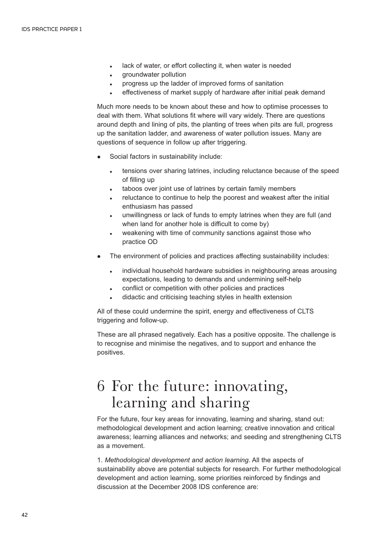- lack of water, or effort collecting it, when water is needed
- groundwater pollution
- progress up the ladder of improved forms of sanitation
- effectiveness of market supply of hardware after initial peak demand

Much more needs to be known about these and how to optimise processes to deal with them. What solutions fit where will vary widely. There are questions around depth and lining of pits, the planting of trees when pits are full, progress up the sanitation ladder, and awareness of water pollution issues. Many are questions of sequence in follow up after triggering.

- Social factors in sustainability include:
	- tensions over sharing latrines, including reluctance because of the speed of filling up
	- taboos over joint use of latrines by certain family members
	- reluctance to continue to help the poorest and weakest after the initial enthusiasm has passed
	- <sup>l</sup> unwillingness or lack of funds to empty latrines when they are full (and when land for another hole is difficult to come by)
	- weakening with time of community sanctions against those who practice OD
- The environment of policies and practices affecting sustainability includes:
	- individual household hardware subsidies in neighbouring areas arousing expectations, leading to demands and undermining self-help
	- conflict or competition with other policies and practices
	- didactic and criticising teaching styles in health extension

All of these could undermine the spirit, energy and effectiveness of CLTS triggering and follow-up.

These are all phrased negatively. Each has a positive opposite. The challenge is to recognise and minimise the negatives, and to support and enhance the positives.

# 6 For the future: innovating, learning and sharing

For the future, four key areas for innovating, learning and sharing, stand out: methodological development and action learning; creative innovation and critical awareness; learning alliances and networks; and seeding and strengthening CLTS as a movement.

1. *Methodological development and action learning.* All the aspects of sustainability above are potential subjects for research. For further methodological development and action learning, some priorities reinforced by findings and discussion at the December 2008 IDS conference are: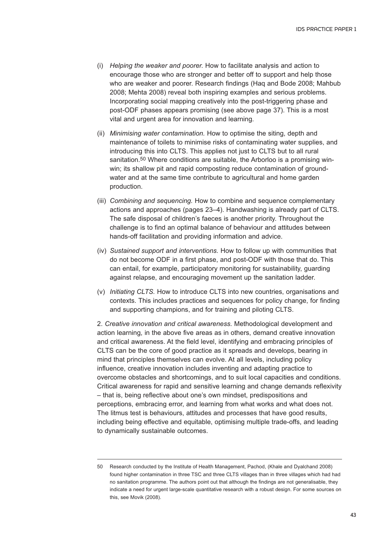- (i) *Helping the weaker and poorer.* How to facilitate analysis and action to encourage those who are stronger and better off to support and help those who are weaker and poorer. Research findings (Haq and Bode 2008; Mahbub 2008; Mehta 2008) reveal both inspiring examples and serious problems. Incorporating social mapping creatively into the post-triggering phase and post-ODF phases appears promising (see above page 37). This is a most vital and urgent area for innovation and learning.
- (ii) *Minimising water contamination.* How to optimise the siting, depth and maintenance of toilets to minimise risks of contaminating water supplies, and introducing this into CLTS. This applies not just to CLTS but to all rural sanitation.<sup>50</sup> Where conditions are suitable, the Arborloo is a promising winwin; its shallow pit and rapid composting reduce contamination of groundwater and at the same time contribute to agricultural and home garden production.
- (iii) *Combining and sequencing.* How to combine and sequence complementary actions and approaches (pages 23–4). Handwashing is already part of CLTS. The safe disposal of children's faeces is another priority. Throughout the challenge is to find an optimal balance of behaviour and attitudes between hands-off facilitation and providing information and advice.
- (iv) *Sustained support and interventions.* How to follow up with communities that do not become ODF in a first phase, and post-ODF with those that do. This can entail, for example, participatory monitoring for sustainability, guarding against relapse, and encouraging movement up the sanitation ladder.
- (v) *Initiating CLTS.* How to introduce CLTS into new countries, organisations and contexts. This includes practices and sequences for policy change, for finding and supporting champions, and for training and piloting CLTS.

2. *Creative innovation and critical awareness.* Methodological development and action learning, in the above five areas as in others, demand creative innovation and critical awareness. At the field level, identifying and embracing principles of CLTS can be the core of good practice as it spreads and develops, bearing in mind that principles themselves can evolve. At all levels, including policy influence, creative innovation includes inventing and adapting practice to overcome obstacles and shortcomings, and to suit local capacities and conditions. Critical awareness for rapid and sensitive learning and change demands reflexivity – that is, being reflective about one's own mindset, predispositions and perceptions, embracing error, and learning from what works and what does not. The litmus test is behaviours, attitudes and processes that have good results, including being effective and equitable, optimising multiple trade-offs, and leading to dynamically sustainable outcomes.

<sup>50</sup> Research conducted by the Institute of Health Management, Pachod, (Khale and Dyalchand 2008) found higher contamination in three TSC and three CLTS villages than in three villages which had had no sanitation programme. The authors point out that although the findings are not generalisable, they indicate a need for urgent large-scale quantitative research with a robust design. For some sources on this, see Movik (2008).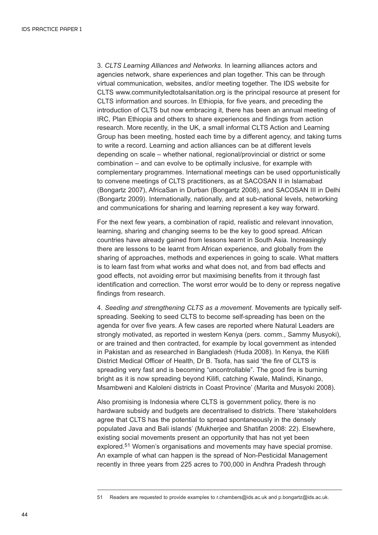3. *CLTS Learning Alliances and Networks.* In learning alliances actors and agencies network, share experiences and plan together. This can be through virtual communication, websites, and/or meeting together. The IDS website for CLTS www.communityledtotalsanitation.org is the principal resource at present for CLTS information and sources. In Ethiopia, for five years, and preceding the introduction of CLTS but now embracing it, there has been an annual meeting of IRC, Plan Ethiopia and others to share experiences and findings from action research. More recently, in the UK, a small informal CLTS Action and Learning Group has been meeting, hosted each time by a different agency, and taking turns to write a record. Learning and action alliances can be at different levels depending on scale – whether national, regional/provincial or district or some combination – and can evolve to be optimally inclusive, for example with complementary programmes. International meetings can be used opportunistically to convene meetings of CLTS practitioners, as at SACOSAN II in Islamabad (Bongartz 2007), AfricaSan in Durban (Bongartz 2008), and SACOSAN III in Delhi (Bongartz 2009). Internationally, nationally, and at sub-national levels, networking and communications for sharing and learning represent a key way forward.

For the next few years, a combination of rapid, realistic and relevant innovation, learning, sharing and changing seems to be the key to good spread. African countries have already gained from lessons learnt in South Asia. Increasingly there are lessons to be learnt from African experience, and globally from the sharing of approaches, methods and experiences in going to scale. What matters is to learn fast from what works and what does not, and from bad effects and good effects, not avoiding error but maximising benefits from it through fast identification and correction. The worst error would be to deny or repress negative findings from research.

4. *Seeding and strengthening CLTS as a movement.* Movements are typically selfspreading. Seeking to seed CLTS to become self-spreading has been on the agenda for over five years. A few cases are reported where Natural Leaders are strongly motivated, as reported in western Kenya (pers. comm., Sammy Musyoki), or are trained and then contracted, for example by local government as intended in Pakistan and as researched in Bangladesh (Huda 2008). In Kenya, the Kilifi District Medical Officer of Health, Dr B. Tsofa, has said 'the fire of CLTS is spreading very fast and is becoming "uncontrollable". The good fire is burning bright as it is now spreading beyond Kilifi, catching Kwale, Malindi, Kinango, Msambweni and Kaloleni districts in Coast Province' (Marita and Musyoki 2008).

Also promising is Indonesia where CLTS is government policy, there is no hardware subsidy and budgets are decentralised to districts. There 'stakeholders agree that CLTS has the potential to spread spontaneously in the densely populated Java and Bali islands' (Mukherjee and Shatifan 2008: 22). Elsewhere, existing social movements present an opportunity that has not yet been explored.51 Women's organisations and movements may have special promise. An example of what can happen is the spread of Non-Pesticidal Management recently in three years from 225 acres to 700,000 in Andhra Pradesh through

<sup>51</sup> Readers are requested to provide examples to r.chambers@ids.ac.uk and p.bongartz@ids.ac.uk.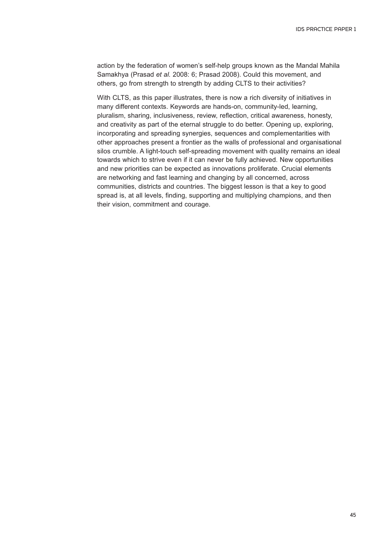action by the federation of women's self-help groups known as the Mandal Mahila Samakhya (Prasad *et al.* 2008: 6; Prasad 2008). Could this movement, and others, go from strength to strength by adding CLTS to their activities?

With CLTS, as this paper illustrates, there is now a rich diversity of initiatives in many different contexts. Keywords are hands-on, community-led, learning, pluralism, sharing, inclusiveness, review, reflection, critical awareness, honesty, and creativity as part of the eternal struggle to do better. Opening up, exploring, incorporating and spreading synergies, sequences and complementarities with other approaches present a frontier as the walls of professional and organisational silos crumble. A light-touch self-spreading movement with quality remains an ideal towards which to strive even if it can never be fully achieved. New opportunities and new priorities can be expected as innovations proliferate. Crucial elements are networking and fast learning and changing by all concerned, across communities, districts and countries. The biggest lesson is that a key to good spread is, at all levels, finding, supporting and multiplying champions, and then their vision, commitment and courage.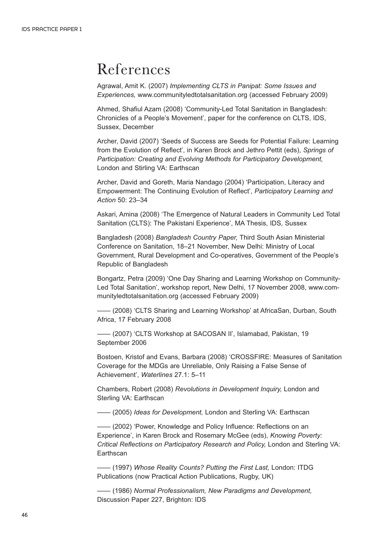# References

Agrawal, Amit K. (2007) *Implementing CLTS in Panipat: Some Issues and Experiences,* www.communityledtotalsanitation.org (accessed February 2009)

Ahmed, Shafiul Azam (2008) 'Community-Led Total Sanitation in Bangladesh: Chronicles of a People's Movement', paper for the conference on CLTS, IDS, Sussex, December

Archer, David (2007) 'Seeds of Success are Seeds for Potential Failure: Learning from the Evolution of Reflect', in Karen Brock and Jethro Pettit (eds), *Springs of Participation: Creating and Evolving Methods for Participatory Development,* London and Stirling VA: Earthscan

Archer, David and Goreth, Maria Nandago (2004) 'Participation, Literacy and Empowerment: The Continuing Evolution of Reflect', *Participatory Learning and Action* 50: 23–34

Askari, Amina (2008) 'The Emergence of Natural Leaders in Community Led Total Sanitation (CLTS): The Pakistani Experience', MA Thesis, IDS, Sussex

Bangladesh (2008) *Bangladesh Country Paper,* Third South Asian Ministerial Conference on Sanitation, 18–21 November, New Delhi: Ministry of Local Government, Rural Development and Co-operatives, Government of the People's Republic of Bangladesh

Bongartz, Petra (2009) 'One Day Sharing and Learning Workshop on Community-Led Total Sanitation', workshop report, New Delhi, 17 November 2008, www.communityledtotalsanitation.org (accessed February 2009)

—— (2008) 'CLTS Sharing and Learning Workshop' at AfricaSan, Durban, South Africa, 17 February 2008

—— (2007) 'CLTS Workshop at SACOSAN II', Islamabad, Pakistan, 19 September 2006

Bostoen, Kristof and Evans, Barbara (2008) 'CROSSFIRE: Measures of Sanitation Coverage for the MDGs are Unreliable, Only Raising a False Sense of Achievement', *Waterlines* 27.1: 5–11

Chambers, Robert (2008) *Revolutions in Development Inquiry,* London and Sterling VA: Earthscan

—— (2005) *Ideas for Development,* London and Sterling VA: Earthscan

—— (2002) 'Power, Knowledge and Policy Influence: Reflections on an Experience', in Karen Brock and Rosemary McGee (eds), *Knowing Poverty: Critical Reflections on Participatory Research and Policy,* London and Sterling VA: **Earthscan** 

—— (1997) *Whose Reality Counts? Putting the First Last,* London: ITDG Publications (now Practical Action Publications, Rugby, UK)

—— (1986) *Normal Professionalism, New Paradigms and Development,* Discussion Paper 227, Brighton: IDS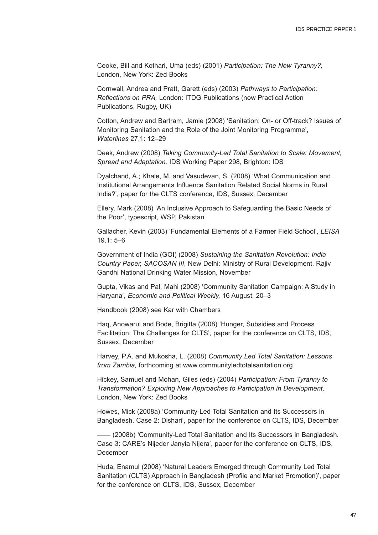Cooke, Bill and Kothari, Uma (eds) (2001) *Participation: The New Tyranny?,* London, New York: Zed Books

Cornwall, Andrea and Pratt, Garett (eds) (2003) *Pathways to Participation: Reflections on PRA,* London: ITDG Publications (now Practical Action Publications, Rugby, UK)

Cotton, Andrew and Bartram, Jamie (2008) 'Sanitation: On- or Off-track? Issues of Monitoring Sanitation and the Role of the Joint Monitoring Programme', *Waterlines* 27.1: 12–29

Deak, Andrew (2008) *Taking Community-Led Total Sanitation to Scale: Movement, Spread and Adaptation,* IDS Working Paper 298, Brighton: IDS

Dyalchand, A.; Khale, M. and Vasudevan, S. (2008) 'What Communication and Institutional Arrangements Influence Sanitation Related Social Norms in Rural India?', paper for the CLTS conference, IDS, Sussex, December

Ellery, Mark (2008) 'An Inclusive Approach to Safeguarding the Basic Needs of the Poor', typescript, WSP, Pakistan

Gallacher, Kevin (2003) 'Fundamental Elements of a Farmer Field School', *LEISA* 19.1: 5–6

Government of India (GOI) (2008) *Sustaining the Sanitation Revolution: India Country Paper, SACOSAN III*, New Delhi: Ministry of Rural Development, Rajiv Gandhi National Drinking Water Mission, November

Gupta, Vikas and Pal, Mahi (2008) 'Community Sanitation Campaign: A Study in Haryana', *Economic and Political Weekly,* 16 August: 20–3

Handbook (2008) see Kar with Chambers

Haq, Anowarul and Bode, Brigitta (2008) 'Hunger, Subsidies and Process Facilitation: The Challenges for CLTS', paper for the conference on CLTS, IDS, Sussex, December

Harvey, P.A. and Mukosha, L. (2008) *Community Led Total Sanitation: Lessons from Zambia,* forthcoming at www.communityledtotalsanitation.org

Hickey, Samuel and Mohan, Giles (eds) (2004) *Participation: From Tyranny to Transformation? Exploring New Approaches to Participation in Development,* London, New York: Zed Books

Howes, Mick (2008a) 'Community-Led Total Sanitation and Its Successors in Bangladesh. Case 2: Dishari', paper for the conference on CLTS, IDS, December

—— (2008b) 'Community-Led Total Sanitation and Its Successors in Bangladesh. Case 3: CARE's Nijeder Janyia Nijera', paper for the conference on CLTS, IDS, December

Huda, Enamul (2008) 'Natural Leaders Emerged through Community Led Total Sanitation (CLTS) Approach in Bangladesh (Profile and Market Promotion)', paper for the conference on CLTS, IDS, Sussex, December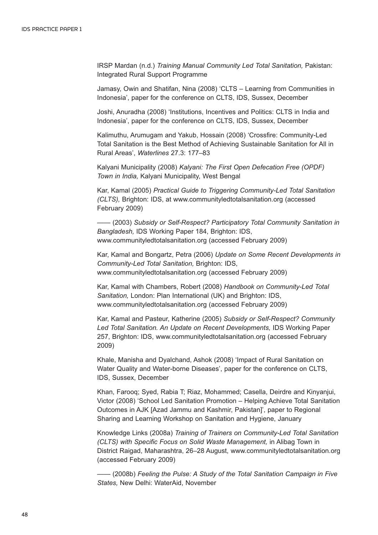IRSP Mardan (n.d.) *Training Manual Community Led Total Sanitation,* Pakistan: Integrated Rural Support Programme

Jamasy, Owin and Shatifan, Nina (2008) 'CLTS – Learning from Communities in Indonesia', paper for the conference on CLTS, IDS, Sussex, December

Joshi, Anuradha (2008) 'Institutions, Incentives and Politics: CLTS in India and Indonesia', paper for the conference on CLTS, IDS, Sussex, December

Kalimuthu, Arumugam and Yakub, Hossain (2008) 'Crossfire: Community-Led Total Sanitation is the Best Method of Achieving Sustainable Sanitation for All in Rural Areas', *Waterlines* 27.3: 177–83

Kalyani Municipality (2008) *Kalyani: The First Open Defecation Free (OPDF) Town in India,* Kalyani Municipality, West Bengal

Kar, Kamal (2005) *Practical Guide to Triggering Community-Led Total Sanitation (CLTS),* Brighton: IDS, at www.communityledtotalsanitation.org (accessed February 2009)

—— (2003) *Subsidy or Self-Respect? Participatory Total Community Sanitation in Bangladesh,* IDS Working Paper 184, Brighton: IDS, www.communityledtotalsanitation.org (accessed February 2009)

Kar, Kamal and Bongartz, Petra (2006) *Update on Some Recent Developments in Community-Led Total Sanitation,* Brighton: IDS, www.communityledtotalsanitation.org (accessed February 2009)

Kar, Kamal with Chambers, Robert (2008) *Handbook on Community-Led Total Sanitation,* London: Plan International (UK) and Brighton: IDS, www.communityledtotalsanitation.org (accessed February 2009)

Kar, Kamal and Pasteur, Katherine (2005) *Subsidy or Self-Respect? Community Led Total Sanitation. An Update on Recent Developments,* IDS Working Paper 257, Brighton: IDS, www.communityledtotalsanitation.org (accessed February 2009)

Khale, Manisha and Dyalchand, Ashok (2008) 'Impact of Rural Sanitation on Water Quality and Water-borne Diseases', paper for the conference on CLTS, IDS, Sussex, December

Khan, Farooq; Syed, Rabia T; Riaz, Mohammed; Casella, Deirdre and Kinyanjui, Victor (2008) 'School Led Sanitation Promotion – Helping Achieve Total Sanitation Outcomes in AJK [Azad Jammu and Kashmir, Pakistan]', paper to Regional Sharing and Learning Workshop on Sanitation and Hygiene, January

Knowledge Links (2008a) *Training of Trainers on Community-Led Total Sanitation (CLTS) with Specific Focus on Solid Waste Management,* in Alibag Town in District Raigad, Maharashtra, 26–28 August, www.communityledtotalsanitation.org (accessed February 2009)

—— (2008b) *Feeling the Pulse: A Study of the Total Sanitation Campaign in Five States,* New Delhi: WaterAid, November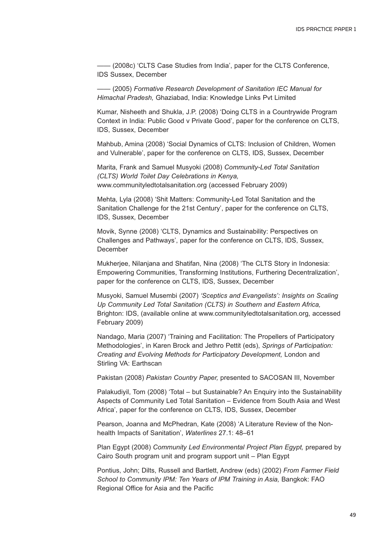—— (2008c) 'CLTS Case Studies from India', paper for the CLTS Conference, IDS Sussex, December

—— (2005) *Formative Research Development of Sanitation IEC Manual for Himachal Pradesh,* Ghaziabad, India: Knowledge Links Pvt Limited

Kumar, Nisheeth and Shukla, J.P. (2008) 'Doing CLTS in a Countrywide Program Context in India: Public Good v Private Good', paper for the conference on CLTS, IDS, Sussex, December

Mahbub, Amina (2008) 'Social Dynamics of CLTS: Inclusion of Children, Women and Vulnerable', paper for the conference on CLTS, IDS, Sussex, December

Marita, Frank and Samuel Musyoki (2008) *Community-Led Total Sanitation (CLTS) World Toilet Day Celebrations in Kenya,*  www.communityledtotalsanitation.org (accessed February 2009)

Mehta, Lyla (2008) 'Shit Matters: Community-Led Total Sanitation and the Sanitation Challenge for the 21st Century', paper for the conference on CLTS, IDS, Sussex, December

Movik, Synne (2008) 'CLTS, Dynamics and Sustainability: Perspectives on Challenges and Pathways', paper for the conference on CLTS, IDS, Sussex, December

Mukherjee, Nilanjana and Shatifan, Nina (2008) 'The CLTS Story in Indonesia: Empowering Communities, Transforming Institutions, Furthering Decentralization', paper for the conference on CLTS, IDS, Sussex, December

Musyoki, Samuel Musembi (2007) *'Sceptics and Evangelists': Insights on Scaling Up Community Led Total Sanitation (CLTS) in Southern and Eastern Africa,* Brighton: IDS, (available online at www.communityledtotalsanitation.org, accessed February 2009)

Nandago, Maria (2007) 'Training and Facilitation: The Propellers of Participatory Methodologies', in Karen Brock and Jethro Pettit (eds), *Springs of Participation: Creating and Evolving Methods for Participatory Development,* London and Stirling VA: Earthscan

Pakistan (2008) *Pakistan Country Paper,* presented to SACOSAN III, November

Palakudiyil, Tom (2008) 'Total – but Sustainable? An Enquiry into the Sustainability Aspects of Community Led Total Sanitation – Evidence from South Asia and West Africa', paper for the conference on CLTS, IDS, Sussex, December

Pearson, Joanna and McPhedran, Kate (2008) 'A Literature Review of the Nonhealth Impacts of Sanitation', *Waterlines* 27.1: 48–61

Plan Egypt (2008) *Community Led Environmental Project Plan Egypt,* prepared by Cairo South program unit and program support unit – Plan Egypt

Pontius, John; Dilts, Russell and Bartlett, Andrew (eds) (2002) *From Farmer Field School to Community IPM: Ten Years of IPM Training in Asia,* Bangkok: FAO Regional Office for Asia and the Pacific